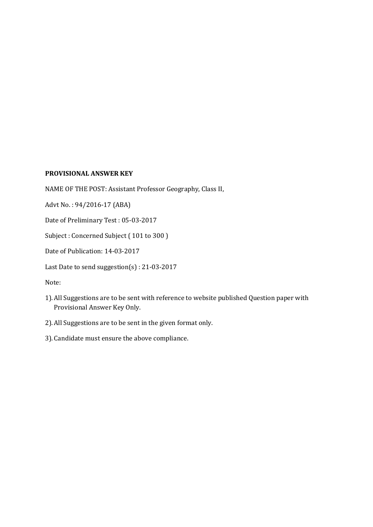## **PROVISIONAL ANSWER KEY**

NAME OF THE POST: Assistant Professor Geography, Class II,

Advt No. : 94/2016-17 (ABA)

Date of Preliminary Test : 05-03-2017

Subject : Concerned Subject ( 101 to 300 )

Date of Publication: 14-03-2017

Last Date to send suggestion(s) : 21-03-2017

Note:

- 1).All Suggestions are to be sent with reference to website published Question paper with Provisional Answer Key Only.
- 2).All Suggestions are to be sent in the given format only.
- 3). Candidate must ensure the above compliance.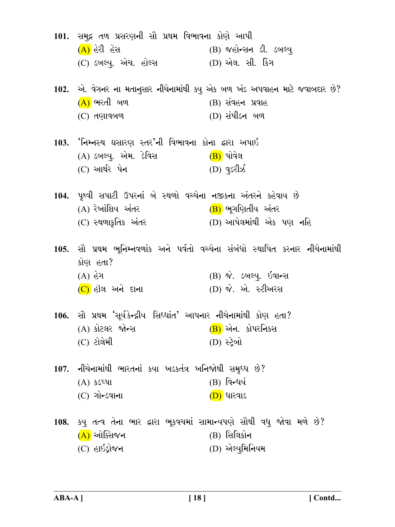| 101. સમુદ્ર તળ પ્રસરણની સૌ પ્રથમ વિભાવના કોણે આપી<br>(A) હેરી હેસ<br>$\overline{C}$ ) ડબલ્યુ. એચ. હોલ્સ (D) એલ. સી. કિંગ                                                        | (B) જહોન્સન ડી. ડબલ્યુ                                                                                                                      |
|---------------------------------------------------------------------------------------------------------------------------------------------------------------------------------|---------------------------------------------------------------------------------------------------------------------------------------------|
| $(A)$ ભરતી બળ<br>(C) તણાવબળ                                                                                                                                                     | 102. એ. વેગનર ના મતાનુસાર નીચેનામાંથી કયુ એક બળ ખંડ અપવાહન માટે જવાબદાર છે?<br>(B) સંવહન પ્રવાહ<br>(D) સંપીડન બળ                            |
| 103.  'નિમ્નસ્થ ઘસારણ સ્તર'ની વિભાવના કોના દ્વારા અપાઇ<br>(A) ડબલ્યુ. એમ. ડેવિસ $(B)$ પોવેલ<br>(C) આર્થર પેન                                                                    | $(D)$ qs? $\mathcal{A}$                                                                                                                     |
| 104. પૃથ્વી સપાટી ઉપરનાં બે સ્થળો વચ્ચેના નજીકના અંતરને કહેવાય છે<br>(A) રેખાંશિય અંતર (B) ભૂગણિતીય અંતર<br>(C) સ્થળાકૃતિક અંતર                         (D) આપેલમાંથી એક પણ નહિ |                                                                                                                                             |
| કોણ હતા?<br>$(\mathsf{A})$ હેગ<br>$(C)$ હોંલ અને દાના                                                                                                                           | 105. સૌ પ્રથમ ભૂનિમ્નવળાંક અને પર્વતો વચ્ચેના સંબંધો સ્થાપિત કરનાર નીચેનામાંથી<br>(B) જે. ડબલ્યુ. ઈવ <del>ાન્</del> સ<br>(D) જે. એ. સ્ટીઅરસ |
| 106. સૌ પ્રથમ 'સૂર્યકેન્દ્રીય સિધ્ધાંત' આપનાર નીચેનામાંથી કોણ હતા?<br>(A) કોટલર જોન્સ<br>$(C)$ ટોલેમી                                                                           | (B) એન. કોપરનિકસ<br>(D) સ્ટ્રેબો                                                                                                            |
| 107. નીચેનામાંથી ભારતનાં કયા ખડકતંત્ર ખનિજોથી સમૃધ્ધ છે?<br>$(A)$ ssull<br>(C) ગોન્ડવાના                                                                                        | (B) વિન્ધયં<br>(D) ધારવાડ                                                                                                                   |
| 108. કયુ તત્વ તેના ભાર દ્વારા ભૂકવચમાં સામાન્યપણે સૌથી વધુ જોવા મળે છે?<br>(A) ઓક્સિજન<br>(C) હાઇડ્રોજન                                                                         | $(B)$ સિલિકોન<br>(D) એલ્યુમિનિયમ                                                                                                            |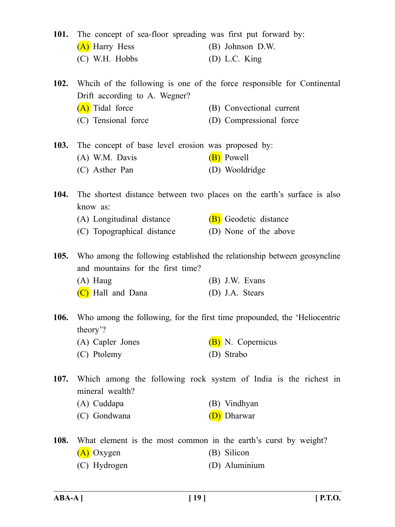| (C) W.H. Hobbs<br>$(D)$ L.C. King<br>102.<br>When of the following is one of the force responsible for Continental<br>Drift according to A. Wegner?<br>(A) Tidal force<br>(B) Convectional current<br>(C) Tensional force<br>(D) Compressional force<br>103.<br>The concept of base level erosion was proposed by:<br>(A) W.M. Davis<br>(B) Powell<br>(D) Wooldridge<br>(C) Asther Pan<br>104.<br>The shortest distance between two places on the earth's surface is also<br>know as:<br>(B) Geodetic distance<br>(A) Longitudinal distance<br>(D) None of the above<br>(C) Topographical distance<br>105.<br>Who among the following established the relationship between geosyncline<br>and mountains for the first time?<br>$(A)$ Haug<br>$(B)$ J.W. Evans<br>(C) Hall and Dana<br>(D) J.A. Stears<br>Who among the following, for the first time propounded, the 'Heliocentric<br>106.<br>theory?<br>(B) N. Copernicus<br>(A) Capler Jones<br>(C) Ptolemy<br>(D) Strabo<br>107.<br>Which among the following rock system of India is the richest in<br>mineral wealth?<br>(A) Cuddapa<br>(B) Vindhyan<br>(D) Dharwar<br>(C) Gondwana<br>108.<br>What element is the most common in the earth's curst by weight?<br>(B) Silicon<br>$(A)$ Oxygen | 101. The concept of sea-floor spreading was first put forward by:<br>(A) Harry Hess | (B) Johnson D.W. |
|----------------------------------------------------------------------------------------------------------------------------------------------------------------------------------------------------------------------------------------------------------------------------------------------------------------------------------------------------------------------------------------------------------------------------------------------------------------------------------------------------------------------------------------------------------------------------------------------------------------------------------------------------------------------------------------------------------------------------------------------------------------------------------------------------------------------------------------------------------------------------------------------------------------------------------------------------------------------------------------------------------------------------------------------------------------------------------------------------------------------------------------------------------------------------------------------------------------------------------------------------|-------------------------------------------------------------------------------------|------------------|
|                                                                                                                                                                                                                                                                                                                                                                                                                                                                                                                                                                                                                                                                                                                                                                                                                                                                                                                                                                                                                                                                                                                                                                                                                                                    |                                                                                     |                  |
|                                                                                                                                                                                                                                                                                                                                                                                                                                                                                                                                                                                                                                                                                                                                                                                                                                                                                                                                                                                                                                                                                                                                                                                                                                                    |                                                                                     |                  |
|                                                                                                                                                                                                                                                                                                                                                                                                                                                                                                                                                                                                                                                                                                                                                                                                                                                                                                                                                                                                                                                                                                                                                                                                                                                    |                                                                                     |                  |
|                                                                                                                                                                                                                                                                                                                                                                                                                                                                                                                                                                                                                                                                                                                                                                                                                                                                                                                                                                                                                                                                                                                                                                                                                                                    |                                                                                     |                  |
|                                                                                                                                                                                                                                                                                                                                                                                                                                                                                                                                                                                                                                                                                                                                                                                                                                                                                                                                                                                                                                                                                                                                                                                                                                                    |                                                                                     |                  |
|                                                                                                                                                                                                                                                                                                                                                                                                                                                                                                                                                                                                                                                                                                                                                                                                                                                                                                                                                                                                                                                                                                                                                                                                                                                    |                                                                                     |                  |
|                                                                                                                                                                                                                                                                                                                                                                                                                                                                                                                                                                                                                                                                                                                                                                                                                                                                                                                                                                                                                                                                                                                                                                                                                                                    |                                                                                     |                  |
|                                                                                                                                                                                                                                                                                                                                                                                                                                                                                                                                                                                                                                                                                                                                                                                                                                                                                                                                                                                                                                                                                                                                                                                                                                                    |                                                                                     |                  |
|                                                                                                                                                                                                                                                                                                                                                                                                                                                                                                                                                                                                                                                                                                                                                                                                                                                                                                                                                                                                                                                                                                                                                                                                                                                    |                                                                                     |                  |
|                                                                                                                                                                                                                                                                                                                                                                                                                                                                                                                                                                                                                                                                                                                                                                                                                                                                                                                                                                                                                                                                                                                                                                                                                                                    |                                                                                     |                  |
|                                                                                                                                                                                                                                                                                                                                                                                                                                                                                                                                                                                                                                                                                                                                                                                                                                                                                                                                                                                                                                                                                                                                                                                                                                                    |                                                                                     |                  |
|                                                                                                                                                                                                                                                                                                                                                                                                                                                                                                                                                                                                                                                                                                                                                                                                                                                                                                                                                                                                                                                                                                                                                                                                                                                    |                                                                                     |                  |
|                                                                                                                                                                                                                                                                                                                                                                                                                                                                                                                                                                                                                                                                                                                                                                                                                                                                                                                                                                                                                                                                                                                                                                                                                                                    |                                                                                     |                  |
|                                                                                                                                                                                                                                                                                                                                                                                                                                                                                                                                                                                                                                                                                                                                                                                                                                                                                                                                                                                                                                                                                                                                                                                                                                                    |                                                                                     |                  |
|                                                                                                                                                                                                                                                                                                                                                                                                                                                                                                                                                                                                                                                                                                                                                                                                                                                                                                                                                                                                                                                                                                                                                                                                                                                    |                                                                                     |                  |
|                                                                                                                                                                                                                                                                                                                                                                                                                                                                                                                                                                                                                                                                                                                                                                                                                                                                                                                                                                                                                                                                                                                                                                                                                                                    |                                                                                     |                  |
|                                                                                                                                                                                                                                                                                                                                                                                                                                                                                                                                                                                                                                                                                                                                                                                                                                                                                                                                                                                                                                                                                                                                                                                                                                                    |                                                                                     |                  |
|                                                                                                                                                                                                                                                                                                                                                                                                                                                                                                                                                                                                                                                                                                                                                                                                                                                                                                                                                                                                                                                                                                                                                                                                                                                    |                                                                                     |                  |
|                                                                                                                                                                                                                                                                                                                                                                                                                                                                                                                                                                                                                                                                                                                                                                                                                                                                                                                                                                                                                                                                                                                                                                                                                                                    |                                                                                     |                  |
|                                                                                                                                                                                                                                                                                                                                                                                                                                                                                                                                                                                                                                                                                                                                                                                                                                                                                                                                                                                                                                                                                                                                                                                                                                                    |                                                                                     |                  |
|                                                                                                                                                                                                                                                                                                                                                                                                                                                                                                                                                                                                                                                                                                                                                                                                                                                                                                                                                                                                                                                                                                                                                                                                                                                    |                                                                                     |                  |
|                                                                                                                                                                                                                                                                                                                                                                                                                                                                                                                                                                                                                                                                                                                                                                                                                                                                                                                                                                                                                                                                                                                                                                                                                                                    |                                                                                     |                  |
|                                                                                                                                                                                                                                                                                                                                                                                                                                                                                                                                                                                                                                                                                                                                                                                                                                                                                                                                                                                                                                                                                                                                                                                                                                                    |                                                                                     |                  |
|                                                                                                                                                                                                                                                                                                                                                                                                                                                                                                                                                                                                                                                                                                                                                                                                                                                                                                                                                                                                                                                                                                                                                                                                                                                    |                                                                                     |                  |
|                                                                                                                                                                                                                                                                                                                                                                                                                                                                                                                                                                                                                                                                                                                                                                                                                                                                                                                                                                                                                                                                                                                                                                                                                                                    |                                                                                     |                  |
|                                                                                                                                                                                                                                                                                                                                                                                                                                                                                                                                                                                                                                                                                                                                                                                                                                                                                                                                                                                                                                                                                                                                                                                                                                                    |                                                                                     |                  |
|                                                                                                                                                                                                                                                                                                                                                                                                                                                                                                                                                                                                                                                                                                                                                                                                                                                                                                                                                                                                                                                                                                                                                                                                                                                    |                                                                                     |                  |
|                                                                                                                                                                                                                                                                                                                                                                                                                                                                                                                                                                                                                                                                                                                                                                                                                                                                                                                                                                                                                                                                                                                                                                                                                                                    |                                                                                     |                  |
|                                                                                                                                                                                                                                                                                                                                                                                                                                                                                                                                                                                                                                                                                                                                                                                                                                                                                                                                                                                                                                                                                                                                                                                                                                                    |                                                                                     |                  |
|                                                                                                                                                                                                                                                                                                                                                                                                                                                                                                                                                                                                                                                                                                                                                                                                                                                                                                                                                                                                                                                                                                                                                                                                                                                    |                                                                                     |                  |
|                                                                                                                                                                                                                                                                                                                                                                                                                                                                                                                                                                                                                                                                                                                                                                                                                                                                                                                                                                                                                                                                                                                                                                                                                                                    | (C) Hydrogen                                                                        | (D) Aluminium    |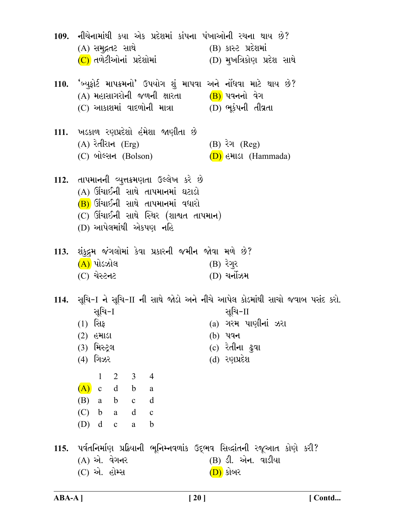|      | 109. નીચેનામાંથી કયા એક પ્રદેશમાં કાંપના પંખાઓની રચના થાય છે?<br>(A) સમુદ્રતટ સાથે<br>(C) તળેટીઓનાં પ્રદેશોમાં                                                                                                               |                                  |                                 | (B) કાસ્ટ પ્રદેશમાં<br>(D) મુખત્રિકોણ પ્રદેશ સાથે                                                                                     |  |
|------|------------------------------------------------------------------------------------------------------------------------------------------------------------------------------------------------------------------------------|----------------------------------|---------------------------------|---------------------------------------------------------------------------------------------------------------------------------------|--|
|      | 110.  'બ્યુફોર્ટ માપક્રમનો' ઉપયોગ શું માપવા અને નોંધવા માટે થાય છે?<br>(A) મહાસાગરોની જળની ક્ષારતા $\overline{B}$ ) પવનનો વેગ<br>(C) આકાશમાં વાદળોની માત્રા        (D) ભૂકંપની તીવ્રતા                                       |                                  |                                 |                                                                                                                                       |  |
|      | 111.  ખડકાળ રણપ્રદેશો હંમેશા જાણીતા છે<br>(A) રેતીરાન (Erg)<br>(C) બોલ્સન (Bolson)                                                                                                                                           |                                  | $(B)$ રંગ $(Reg)$               | (D) हमाडा (Hammada)                                                                                                                   |  |
|      | 112.  તાપમાનની વ્યુત્તક્રમણતા ઉલ્લેખ કરે છે<br>(A) ઊંચાઈની સાથે તાપમાનમાં ઘટાડો<br>(B) ઊંચાઈની સાથે તાપમાનમાં વધારો<br>(C) ઊંચાઈની સાથે સ્થિર (શાશ્વત તાપમાન)<br>(D) આપેલમાંથી એકપણ નહિ                                      |                                  |                                 |                                                                                                                                       |  |
|      | 113.  શંકુદ્રમ જંગલોમાં કેવા પ્રકારની જમીન જોવા મળે છે?<br>$(A)$ પોડઝોલ<br>(C) ચેસ્ટ <b>ન</b> ટ                                                                                                                              |                                  | (B) રેગૂર<br>$(D)$ ચર્નોઝમ      |                                                                                                                                       |  |
|      | સૂચિ−I<br>$(1)$ સિફ<br>$(2)$ હંમાડા<br>(3) મિસ્ટ <del>્ર</del> લ<br>ગિઝર<br>(4)                                                                                                                                              |                                  | (b) પવ <b>ન</b><br>(d) રણપ્રદેશ | 114.   સૂચિ-I ને સૂચિ-II ની સાથે જોડો અને નીચે આપેલ કોડમાંથી સાચો જવાબ પસંદ કરો.<br>સૂચિ-II<br>(a) ગરમ પાણીનાં ઝરા<br>(c) રેતીના ઢુવા |  |
|      | $2 \quad 3 \quad 4$<br>$\mathbf{1}$<br>(A)<br>$\mathbf d$<br>$\mathbf{c}$<br>$\mathbf{b}$<br>(B)<br>$\mathbf{b}$<br>$\mathbf{c}$ d<br>a<br>$(C)$ b<br>$\mathbf d$<br>a<br>(D)<br>$\mathbf d$<br>$\mathbf{a}$<br>$\mathbf{c}$ | a<br>$\mathbf{c}$<br>$\mathbf b$ |                                 |                                                                                                                                       |  |
| 115. | (A) એ. વેગ <b>ન</b> ર<br>(C) એ. હોમ્સ                                                                                                                                                                                        |                                  | <u>(D)</u> કોબર                 | પર્વતનિર્માણ પ્રક્રિયાની ભૂનિમ્નવળાંક ઉદ્દભવ સિદ્ધાંતની રજૂઆત કોણે કરી?<br>(B) ડી. એન. વાડીયા                                         |  |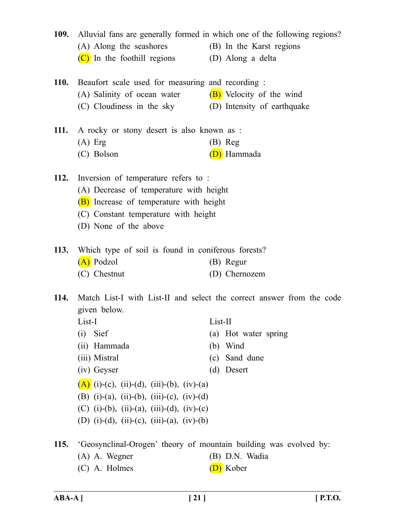**109.** Alluvial fans are generally formed in which one of the following regions? (A) Along the seashores (B) In the Karst regions

 $(C)$  In the foothill regions (D) Along a delta

**110.** Beaufort scale used for measuring and recording :

- (A) Salinity of ocean water  $(B)$  Velocity of the wind
- (C) Cloudiness in the sky (D) Intensity of earthquake

**111.** A rocky or stony desert is also known as : (A) Erg (B) Reg

(C) Bolson (D) Hammada

**112.** Inversion of temperature refers to :

- (A) Decrease of temperature with height
- (B) Increase of temperature with height
- (C) Constant temperature with height
- (D) None of the above

**113.** Which type of soil is found in coniferous forests? (A) Podzol (B) Regur (C) Chestnut (D) Chernozem

**114.** Match List-I with List-II and select the correct answer from the code given below.

List-I List-II (i) Sief (a) Hot water spring (ii) Hammada (b) Wind (iii) Mistral (c) Sand dune (iv) Geyser (d) Desert  $(A)$  (i)-(c), (ii)-(d), (iii)-(b), (iv)-(a) (B) (i)-(a), (ii)-(b), (iii)-(c), (iv)-(d) (C) (i)-(b), (ii)-(a), (iii)-(d), (iv)-(c) (D) (i)-(d), (ii)-(c), (iii)-(a), (iv)-(b)

**115.** 'Geosynclinal-Orogen' theory of mountain building was evolved by: (A) A. Wegner (B) D.N. Wadia (C) A. Holmes (D) Kober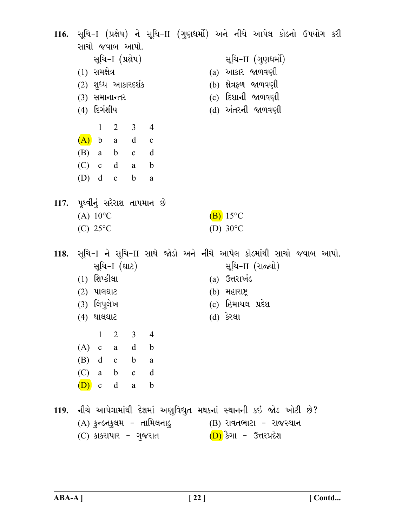116. સૂચિ-I (પ્રક્ષેપ) ને સૂચિ-II (ગુણધર્મો) અને નીચે આપેલ કોડનો ઉપયોગ કરી સાચો જવાબ આપો. સૂચિ-I (પ્રક્ષેપ) સૂચિ-II (ગુણધર્મો)  $(1)$  સમક્ષેત્ર  $(a)$  આકાર જાળવણી  $(b)$  ક્ષેત્રકળ જાળવણી (2) શુધ્ધ આકારદર્શક  $(c)$  દિશાની જાળવણી **(3) સમાનાન્તર** (d) અંતરની જાળવણી  $(4)$  દિગંશીય  $3 \quad 4$  $\mathbf{1}$  $\overline{2}$  $(A)$  b a d c  $(B)$  a b c d  $(C)$  c d  $\mathbf{h}$ a  $(D)$  d c  $\mathbf{h}$  $\mathbf{a}$ 117. પૃથ્વીનું સરેરાશ તાપમાન છે (A)  $10^{\circ}$ C  $(B)$  15°C  $(C)$  25°C (D)  $30^{\circ}$ C સૂચિ-I ને સૂચિ-II સાથે જોડો અને નીચે આપેલ કોડમાંથી સાચો જવાબ આપો. 118. સૂચિ-I (ઘાટ) સૂચિ-II (રાજ્યો)  $(1)$  શિપ્કીલા  $(a)$  ઉત્તરાખંડ (b) મહારાષ્ટ્ર **(2) પાલઘાટ**  $(c)$  હિમાચલ પ્રદેશ (3) લિપુલેખ  $(d)$  કેરલા **(4) થાલઘાટ**  $\mathbf{1}$  $\overline{2}$  $3 \quad 4$  $(A)$  c a d b  $(B)$  d c  $\mathbf{b}$ a  $(C)$  a b d  $\mathbf{c}$  $(D)$  c d  $\mathbf b$ a 119. નીચે આપેલામાંથી દેશમાં અણુવિદ્યુત મથકનાં સ્થાનની કઇ જોડ ખોટી છે? (A) કુન્ડનકુલમ - તામિલનાડુ (B) રાવતભાટા - રાજસ્થાન (C) કાકરાપાર - ગુજરાત <u>(D)</u> કૈગા - ઉત્તરપ્રદેશ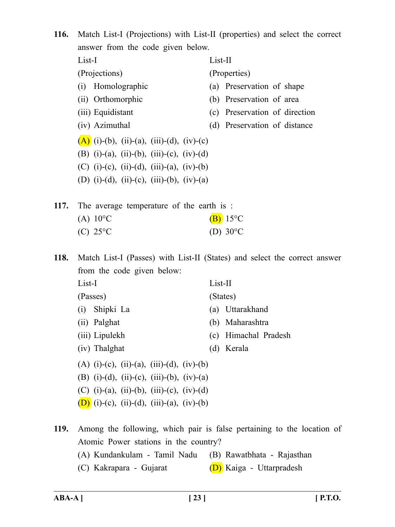**116.** Match List-I (Projections) with List-II (properties) and select the correct answer from the code given below.

| List-I        | List-II      |  |  |
|---------------|--------------|--|--|
| (Projections) | (Properties) |  |  |

- (i) Homolographic (a) Preservation of shape
- (ii) Orthomorphic (b) Preservation of area
- (iii) Equidistant (c) Preservation of direction
- 
- (iv) Azimuthal (d) Preservation of distance
- (A) (i)-(b), (ii)-(a), (iii)-(d), (iv)-(c)
- (B) (i)-(a), (ii)-(b), (iii)-(c), (iv)-(d)
- (C) (i)-(c), (ii)-(d), (iii)-(a), (iv)-(b)
- (D) (i)-(d), (ii)-(c), (iii)-(b), (iv)-(a)

**117.** The average temperature of the earth is : (A)  $10^{\circ}$ C (B)  $15^{\circ}$ C

| $\sim$ $\sim$      |                    |
|--------------------|--------------------|
| (C) $25^{\circ}$ C | (D) $30^{\circ}$ C |

**118.** Match List-I (Passes) with List-II (States) and select the correct answer from the code given below:

- List-I List-II (Passes) (States) (i) Shipki La (a) Uttarakhand (ii) Palghat (b) Maharashtra (iii) Lipulekh (c) Himachal Pradesh (iv) Thalghat (d) Kerala (A) (i)-(c), (ii)-(a), (iii)-(d), (iv)-(b)
- (C) (i)-(a), (ii)-(b), (iii)-(c), (iv)-(d)

(B) (i)-(d), (ii)-(c), (iii)-(b), (iv)-(a)

- $(D)$  (i)-(c), (ii)-(d), (iii)-(a), (iv)-(b)
- **119.** Among the following, which pair is false pertaining to the location of Atomic Power stations in the country?
	- (A) Kundankulam Tamil Nadu (B) Rawatbhata Rajasthan
	- (C) Kakrapara Gujarat (D) Kaiga Uttarpradesh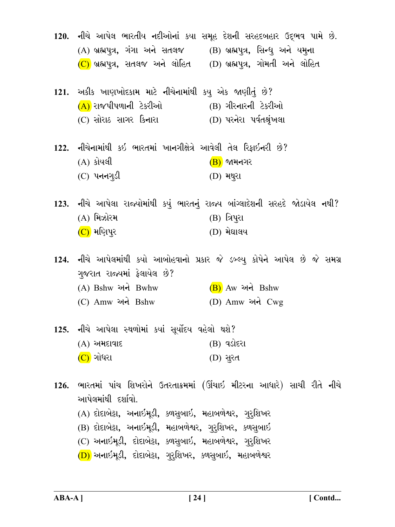| (A) બ્રહ્મપુત્ર, ગંગા અને સતલજ     (B) બ્રહ્મપુત્ર, સિન્ધુ અને યમુના<br>$(C)$ બ્રહ્મપુત્ર, સતલજ અને લોહિત $(D)$ બ્રહ્મપુત્ર, ગોમતી અને લોહિત | 120. નીચે આપેલ ભારતીય નદીઓનાં કયા સમૂહ દેશની સરહદબહાર ઉદ્દભવ પામે છે.          |
|----------------------------------------------------------------------------------------------------------------------------------------------|--------------------------------------------------------------------------------|
| 121. અકીક ખાણખોદકામ માટે નીચેનામાંથી કયુ એક જાણીતું છે?                                                                                      |                                                                                |
| (A) રાજપીપળાની ટેકરીઓ                                                                                                                        | (B) ગીરનારની ટેકરીઓ                                                            |
| (C) સોરાઠ સાગર કિનારા                   (D) પરનેરા પર્વતશ્રૃંખલા                                                                             |                                                                                |
| 122. નીચેનામાંથી કઇ ભારતમાં ખાનગીક્ષેત્રે આવેલી તેલ રિફાઇનરી છે?                                                                             |                                                                                |
| (A) કોયલી                                                                                                                                    | $(B)$ જામનગર                                                                   |
| $(C)$ પનનગુડી                                                                                                                                | (D) <b>મ</b> થુરા                                                              |
|                                                                                                                                              | 123. નીચે આપેલા રાજ્યોમાંથી કયું ભારતનું રાજ્ય બાંગ્લાદેશની સરહદે જોડાયેલ નથી? |
| (A) મિઝોરમ                                                                                                                                   | (B) ત્રિપુરા                                                                   |
| $(C)$ મણિપુર                                                                                                                                 | $(D)$ મેઘાલય                                                                   |
| ગુજરાત રાજ્યમાં ફેલાયેલ છે?                                                                                                                  | 124. નીચે આપેલમાંથી કયો આબોહવાનો પ્રકાર જે ડબ્લ્યુ કોપેને આપેલ છે જે સમગ્ર     |
| (A) Bshw અને Bwhw                                                                                                                            | $(B)$ Aw અને Bshw                                                              |
| (C) Amw અને Bshw                                                                                                                             | (D) Amw અને Cwg                                                                |
| 125. નીચે આપેલા સ્થળોમાં કયાં સૂર્યોદય વહેલો થશે?                                                                                            |                                                                                |
| $(A)$ અમદાવાદ                                                                                                                                | (B) વડોદરા                                                                     |
| <u>(C)</u> ગોધરા                                                                                                                             | (D) સુરત                                                                       |
| આપેલમાંથી દર્શાવો.                                                                                                                           | 126. ભારતમાં પાંચ શિખરોને ઉતરતાક્રમમાં (ઊંચાઇ મીટરના આધારે) સાચી રીતે નીચે     |
| (A) દોદાબેટ્ટા, અનાઇમૂડી, કળસુબાઇ, મહાબળેશ્વર, ગુરુશિખર<br>(B) દોદાબેટ્ટા, અનાઇમૂડી, મહાબળેશ્વર, ગુરુશિખર, કળસુબાઇ                           |                                                                                |

(C) અનાઇમૂડી, દોદાબેટ્ટા, કળસુબાઇ, મહાબળેશ્વર, ગુરુશિખર <mark>(D)</mark> અનાઇમૂડી, દોદાબેટ્ટા, ગુરુશિખર, કળસુબાઇ, મહાબળેશ્વર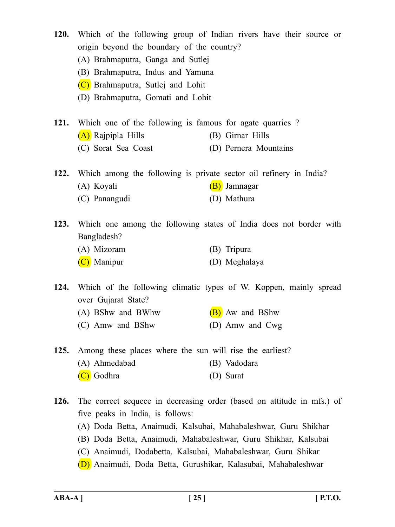- **120.** Which of the following group of Indian rivers have their source or origin beyond the boundary of the country?
	- (A) Brahmaputra, Ganga and Sutlej
	- (B) Brahmaputra, Indus and Yamuna
	- (C) Brahmaputra, Sutlej and Lohit
	- (D) Brahmaputra, Gomati and Lohit
- **121.** Which one of the following is famous for agate quarries ?
	- (A) Rajpipla Hills (B) Girnar Hills
	- (C) Sorat Sea Coast (D) Pernera Mountains

**122.** Which among the following is private sector oil refinery in India?

- (A) Koyali (B) Jamnagar
	- (C) Panangudi (D) Mathura

**123.** Which one among the following states of India does not border with Bangladesh?

(A) Mizoram (B) Tripura (C) Manipur (D) Meghalaya

**124.** Which of the following climatic types of W. Koppen, mainly spread over Gujarat State?

- (A) BShw and BWhw  $(B)$  Aw and BShw
- (C) Amw and BShw (D) Amw and Cwg

**125.** Among these places where the sun will rise the earliest?

- (A) Ahmedabad (B) Vadodara
	- (C) Godhra (D) Surat
- **126.** The correct sequece in decreasing order (based on attitude in mfs.) of five peaks in India, is follows:
	- (A) Doda Betta, Anaimudi, Kalsubai, Mahabaleshwar, Guru Shikhar
	- (B) Doda Betta, Anaimudi, Mahabaleshwar, Guru Shikhar, Kalsubai
	- (C) Anaimudi, Dodabetta, Kalsubai, Mahabaleshwar, Guru Shikar
	- (D) Anaimudi, Doda Betta, Gurushikar, Kalasubai, Mahabaleshwar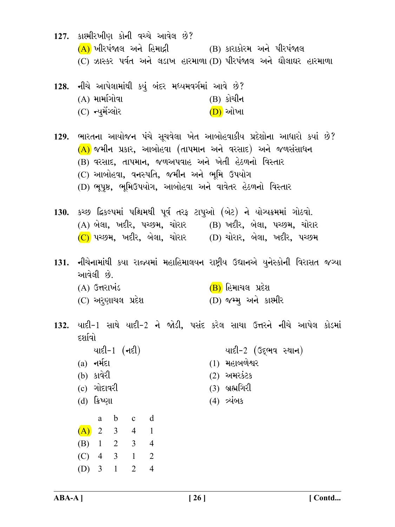127. કાશ્મીરખીણ કોની વચ્ચે આવેલ છે?

 $(A)$  ખીરપંજાલ અને હિમાદ્રી (B) કારાકોરમ અને પીરપંજાલ (C) ઝાસ્કર પર્વત અને લડાખ હારમાળા(D) પીરપંજાલ અને ઘૌલાઘર હારમાળા

128. નીચે આપેલામાંથી કયું બંદર મધ્યમવર્ગમાં આવે છે?  $(A)$  માર્માગોવા (B) કોચીન (C) ન્યુમેંગ્લોર  $(D)$  ઓખા

129. ભારતના આયોજન પંચે સુચવેલા ખેત આબોહવાકીય પ્રદેશોના આધારો કયાં છે?  $(A)$  જમીન પ્રકાર, આબોહવા (તાપમાન અને વરસાદ) અને જળસંસાધન (B) વરસાદ, તાપમાન, જળઅપવાહ અને ખેતી હેઠળનો વિસ્તાર (C) આબોહવા, વનસ્પતિ, જમીન અને ભૂમિ ઉપયોગ

- (D) ભુપૃષ્ઠ, ભુમિઉપયોગ, આબોહવા અને વાવેતર હેઠળનો વિસ્તાર
- 130. કચ્છ દ્વિકલ્પમાં પશ્ચિમથી પૂર્વ તરફ ટાપુઓ (બેટ) ને યોગ્યક્રમમાં ગોઠવો. (A) બેલા, ખદીર, પચ્છમ, ચોરાર (B) ખદીર, બેલા, પચ્છમ, ચોરાર  $\overline{(\mathbf{C})}$  પચ્છમ, ખદીર, બેલા, ચોરાર  $\qquad$  (D) ચોરાર, બેલા, ખદીર, પચ્છમ
- 131. નીચેનામાંથી કયા રાજ્યમાં મહાહિમાલયન રાષ્ટ્રીય ઉદ્યાનએ યુનેસ્કોની વિરાસત જગ્યા આવેલી છે. (B) હિમાચલ પ્રદેશ  $(A)$  ઉત્તરાખંડ
	- $(D)$  જમ્મૂ અને કાશ્મીર (C) અરૂણાચલ પ્રદેશ
- 132. યાદી-1 સાથે યાદી-2 ને જોડી, પસંદ કરેલ સાચા ઉત્તરને નીચે આપેલ કોડમાં દર્શાવો

 $U(1 - 1)$  ( $U(1 - 1)$ 

યાદી-2 (ઉદ્દભવ સ્થાન)

 $(1)$  મહાબળેશ્વર

 $(2)$  અમરકંટક

 $(3)$  બ્રહ્મગિરી

 $(4)$   $\approx$   $4045$ 

- (a) નર્મદા
- (b) કાવેરી
- $(c)$  ગોદાવરી
- $(d)$  ક્રિપ્ણા

|     | a              | b | Ć | d              |
|-----|----------------|---|---|----------------|
| (A) | $\overline{2}$ | 3 | 4 | 1              |
| (B) | 1              | 2 | 3 | 4              |
| (C) | 4              | 3 | 1 | $\overline{2}$ |
| (D) | 3              |   | 2 | 4              |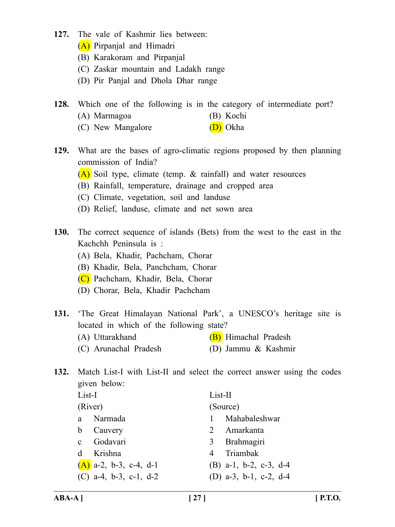**127.** The vale of Kashmir lies between:

(A) Pirpanjal and Himadri

- (B) Karakoram and Pirpanjal
- (C) Zaskar mountain and Ladakh range
- (D) Pir Panjal and Dhola Dhar range

**128.** Which one of the following is in the category of intermediate port?

- (A) Marmagoa (B) Kochi
- (C) New Mangalore (D) Okha
- **129.** What are the bases of agro-climatic regions proposed by then planning commission of India?
	- (A) Soil type, climate (temp. & rainfall) and water resources
	- (B) Rainfall, temperature, drainage and cropped area
	- (C) Climate, vegetation, soil and landuse
	- (D) Relief, landuse, climate and net sown area
- **130.** The correct sequence of islands (Bets) from the west to the east in the Kachchh Peninsula is :
	- (A) Bela, Khadir, Pachcham, Chorar
	- (B) Khadir, Bela, Panchcham, Chorar
	- (C) Pachcham, Khadir, Bela, Chorar
	- (D) Chorar, Bela, Khadir Pachcham
- **131.** 'The Great Himalayan National Park', a UNESCO's heritage site is located in which of the following state?
	- (A) Uttarakhand (B) Himachal Pradesh
	- (C) Arunachal Pradesh (D) Jammu & Kashmir
- **132.** Match List-I with List-II and select the correct answer using the codes given below:

| List-I                   | List-II                           |  |  |
|--------------------------|-----------------------------------|--|--|
| (River)                  | (Source)                          |  |  |
| Narmada<br>a.            | Mahabaleshwar                     |  |  |
| b Cauvery                | 2 Amarkanta                       |  |  |
| Godavari<br>$\mathbf{c}$ | 3 Brahmagiri                      |  |  |
| d Krishna                | 4 Triambak                        |  |  |
| $(A)$ a-2, b-3, c-4, d-1 | (B) a-1, b-2, c-3, d-4            |  |  |
| (C) a-4, b-3, c-1, $d-2$ | (D) $a-3$ , $b-1$ , $c-2$ , $d-4$ |  |  |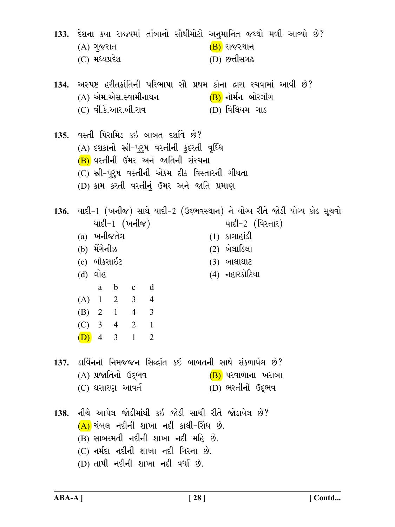133. દેશના કયા રાજ્યમાં તાંબાનો સૌથીમોટો અનુમાનિત જથ્થો મળી આવ્યો છે?  $(B)$  રાજસ્થાન  $(A)$  ગુજરાત (C) મધ્યપ્રદેશ (D) છત્તીસગઢ 134. અસ્પષ્ટ હરીતક્રાંતિની પરિભાષા સૌ પ્રથમ કોના દ્વારા રચવામાં આવી છે? (A) એમ.એસ.સ્વામીનાથન (B) નૉર્મન બોરલૉંગ (C) વી.કે.આર.બી.રાવ (D) વિલિયમ ગાડ 135. વસ્તી પિરામિડ કઇ બાબત દર્શાવે છે? (A) દશકાનો સ્ત્રી-પુરૂષ વસ્તીની કુદરતી વૃધ્ધિ (B) વસ્તીની ઉંમર અને જાતિની સંરચના (C) સ્રી-પુરૂષ વસ્તીની એકમ દીઠ વિસ્તારની ગીચતા (D) કામ કરતી વસ્તીનું ઉમર અને જાતિ પ્રમાણ 136. યાદી-1 (ખનીજ) સાથે યાદી-2 (ઉદ્દભવસ્થાન) ને યોગ્ય રીતે જોડી યોગ્ય કોડ સૂચવો  $U = 1$  (ખનીજ) યાદી-2 (વિસ્તાર)  $(a)$  ખનીજતેલ  $(1)$  sigheist (b) મેંગેનીઝ  $(2)$  બેલાડિલા (c) બોકસાઇટ **(3) બાલાઘાટ**  $(4)$  નહારકોટિયા  $(d)$  લોહ a b c d  $(A)$  1 2 3 4  $(B)$  2 1 4 3  $(C)$  3 4 2 1  $\overline{2}$  $(D)$  4 3  $\mathbf{1}$ 137. ડાર્વિનનો નિમજજન સિદ્ધાંત કઇ બાબતની સાથે સંકળાયેલ છે? (A) પ્રજાતિનો ઉદભવ (B) પરવાળાના ખરાબા (C) ઘસારણ આવર્ત (D) ભરતીનો ઉદભવ 138. નીચે આપેલ જોડીમાંથી કઇ જોડી સાચી રીતે જોડાયેલ છે?  $(A)$  ચંબલ નદીની શાખા નદી કાલી-સિંધ છે. (B) સાબરમતી નદીની શાખા નદી મહિ છે.  $(C)$  નર્મદા નદીની શાખા નદી ગિરના છે. (D) તાપી નદીની શાખા નદી વર્ધા છે.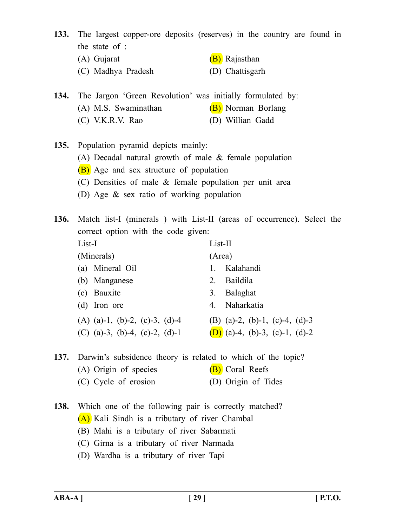- **133.** The largest copper-ore deposits (reserves) in the country are found in the state of :
	- (A) Gujarat (B) Rajasthan
	- (C) Madhya Pradesh (D) Chattisgarh
- **134.** The Jargon 'Green Revolution' was initially formulated by:
	- (A) M.S. Swaminathan  $(B)$  Norman Borlang
	- (C) V.K.R.V. Rao (D) Willian Gadd

**135.** Population pyramid depicts mainly: (A) Decadal natural growth of male & female population (B) Age and sex structure of population

- (C) Densities of male & female population per unit area
- (D) Age & sex ratio of working population

**136.** Match list-I (minerals ) with List-II (areas of occurrence). Select the correct option with the code given: List-I List-II

- (Minerals) (Area) (a) Mineral Oil 1. Kalahandi (b) Manganese 2. Baildila (c) Bauxite 3. Balaghat (d) Iron ore 4. Naharkatia
- (A) (a)-1, (b)-2, (c)-3, (d)-4 (B) (a)-2, (b)-1, (c)-4, (d)-3 (C) (a)-3, (b)-4, (c)-2, (d)-1 (D) (a)-4, (b)-3, (c)-1, (d)-2

## **137.** Darwin's subsidence theory is related to which of the topic?

- (A) Origin of species  $(B)$  Coral Reefs (C) Cycle of erosion (D) Origin of Tides
- **138.** Which one of the following pair is correctly matched?
	- (A) Kali Sindh is a tributary of river Chambal
	- (B) Mahi is a tributary of river Sabarmati
	- (C) Girna is a tributary of river Narmada
	- (D) Wardha is a tributary of river Tapi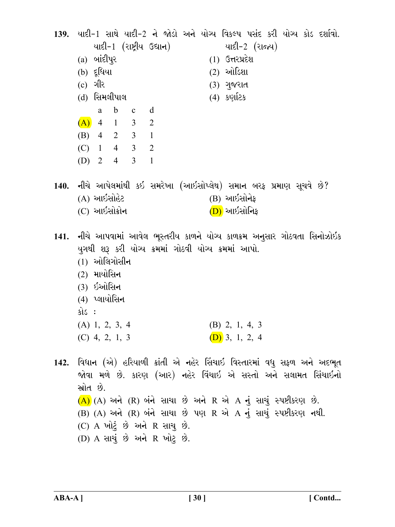139. યાદી-1 સાથે યાદી-2 ને જોડો અને યોગ્ય વિકલ્પ પસંદ કરી યોગ્ય કોડ દર્શાવો. યાદી- $1$  (રાષ્ટ્રીય ઉદ્યાન) યાદી-2 (રાજ્ય)  $(a)$  બાંદીપૂર  $(1)$  ઉત્તરપ્રદેશ  $(2)$  ઓડિશા (b) દૂધિયા  $(c)$   $\partial$   $\partial$   $\partial$   $\partial$ (3) ગુજરાત  $(4)$  sviles (d) સિમલીપાલ  $\mathbf b$ a  $\mathbf{c}$ d  $(A)$  4  $\mathcal{D}$  $\overline{1}$  $3<sup>1</sup>$  $(B)$  4 2 3 1  $\mathcal{L}$  $(C)$  1 4 3 (D) 2 4  $\mathcal{Z}$  $\blacksquare$ 140. નીચે આપેલમાંથી કઇ સમરેખા (આઇસોપ્લેથ) સમાન બરફ પ્રમાણ સૂચવે છે?  $(B)$  આઇસોનેક (A) આઈસોહેટ  $(C)$  આઇસોક્રોન (D) આઇસોનિક 141. નીચે આપવામાં આવેલ ભૂસ્તરીય કાળને યોગ્ય કાળક્રમ અનુસાર ગોઠવતા સિનોઝોઇક યુગથી શરૂ કરી યોગ્ય ક્રમમાં ગોઠવી યોગ્ય ક્રમમાં આપો.  $(1)$  ઓલિગોસીન  $(2)$  માયોસિન **(3) ઈઓસિન** (4) પ્લાયોસિ**ન** કોડ :  $(A)$  1, 2, 3, 4  $(B)$  2, 1, 4, 3  $(D)$  3, 1, 2, 4  $(C)$  4, 2, 1, 3 142. વિધાન (એ) હરિયાળી ક્રાંતી એ નહેર સિંચાઇ વિસ્તારમાં વધુ સફળ અને અદભુત જોવા મળે છે. કારણ (આર) નહેર વિંચાઇ એ સસ્તો અને સલામત સિંચાઇનો સ્ત્રોત છે.  $(A)$  (A) અને (R) બંને સાચા છે અને R એ A નું સાચું સ્પષ્ટીકરણ છે.  $(B)$   $(A)$  અને  $(R)$  બંને સાચા છે પણ R એ A નું સાચું સ્પષ્ટીકરણ નથી. (C) A ખોટું છે અને R સાચુ છે.

(D) A સાચું છે અને R ખોટ છે.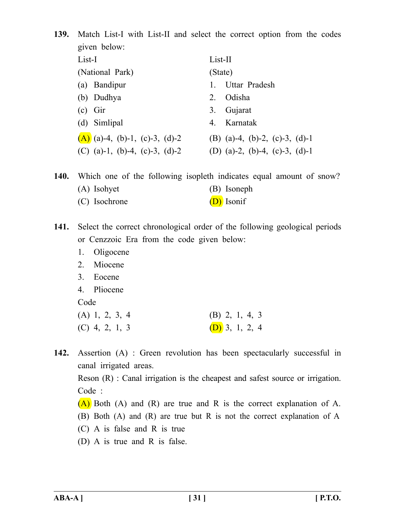| 139. |                                  | Match List-I with List-II and select the correct option from the codes |
|------|----------------------------------|------------------------------------------------------------------------|
|      | given below:                     |                                                                        |
|      | List-I                           | List-II                                                                |
|      | (National Park)                  | (State)                                                                |
|      | (a) Bandipur                     | Uttar Pradesh                                                          |
|      | (b) Dudhya                       | Odisha<br>2.                                                           |
|      | $(c)$ Gir                        | Gujarat<br>3.                                                          |
|      | (d) Simlipal                     | Karnatak<br>4 <sup>1</sup>                                             |
|      | $(A)$ (a)-4, (b)-1, (c)-3, (d)-2 | (B) (a)-4, (b)-2, (c)-3, (d)-1                                         |
|      | (C) (a)-1, (b)-4, (c)-3, (d)-2   | (D) (a)-2, (b)-4, (c)-3, (d)-1                                         |
| 140. |                                  | Which one of the following isopleth indicates equal amount of snow?    |

**140.** Which one of the following isopleth indicates equal amount of snow?

| (A) Isohyet   | (B) Isoneph |
|---------------|-------------|
| (C) Isochrone | (D) Isonif  |

**141.** Select the correct chronological order of the following geological periods or Cenzzoic Era from the code given below:

- 1. Oligocene
- 2. Miocene
- 3. Eocene
- 4. Pliocene

Code

| $(A)$ 1, 2, 3, 4 |  |  | $(B)$ 2, 1, 4, 3 |  |  |
|------------------|--|--|------------------|--|--|
| $(C)$ 4, 2, 1, 3 |  |  | $(D)$ 3, 1, 2, 4 |  |  |

**142.** Assertion (A) : Green revolution has been spectacularly successful in canal irrigated areas.

Reson (R) : Canal irrigation is the cheapest and safest source or irrigation. Code :

- $(A)$  Both (A) and (R) are true and R is the correct explanation of A.
- (B) Both (A) and (R) are true but R is not the correct explanation of A
- (C) A is false and R is true
- (D) A is true and R is false.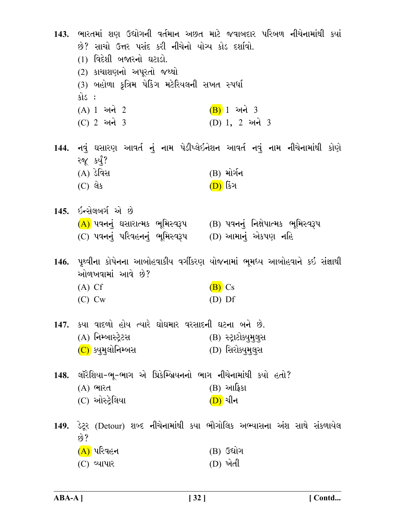143. ભારતમાં શણ ઉદ્યોગની વર્તમાન અછત માટે જવાબદાર પરિબળ નીચેનામાંથી કયાં છે? સાચો ઉત્તર પસંદ કરી નીચેનો યોગ્ય કોડ દર્શાવો. (1) વિદેશી બજારનો ઘટાડો. (2) કાચાશણનો અપૂરતો જથ્થો (3) બહોળા કત્રિમ પેકિંગ મટેરિયલની સખત સ્પર્ધા કોડ :  $(A) 1$  અને 2 (B) 1 અને 3 (D) 1, 2 અને 3 (C) 2 અને 3 144. નવું ઘસારણ આવર્ત નું નામ પેડીપ્લેઇનેશન આવર્ત નવું નામ નીચેનામાંથી કોણે રજૂ કર્યું? (A) ડેવિસ (B) મોર્ગન  $(C)$  લેક <u>(D)</u> કિગ  $145.$  ઈન્સેલબર્ગ એ છે  $(A)$  પવનનું ઘસારાત્મક ભૂમિસ્વરૂપ  $(B)$  પવનનું નિક્ષેપાત્મક ભૂમિસ્વરૂપ (C) પવનનું પરિવહનનું ભૂમિસ્વરૂપ (D) આમાનું એકપણ નહિ 146. પૃથ્વીના કોપેનના આબોહવાકીય વર્ગીકરણ યોજનામાં ભૂમધ્ય આબોહવાને કઇ સંજ્ઞાથી ઓળખવામાં આવે છે?  $(A)$  Cf  $(B)$  Cs  $(C)$  Cw  $(D)$  Df 147. કયા વાદળો હોય ત્યારે ઘોઘમાર વરસાદની ઘટના બને છે. (A) નિમ્બાસ્ટેટસ (B) સ્ટ્રાટોક્યમુલસ (C) ક્યમલોનિમ્બસ (D) સિરોક્યમલસ 148. લૉરેશિયા-ભુ-ભાગ એ પ્રિકેમ્બ્રિયનનો ભાગ નીચેનામાંથી કયો હતો?  $(B)$  આર્કિકા (A) ભારત (C) ઓસ્ટ્રેલિયા  $(D)$  ચીન 149. ડેટ્રર (Detour) શબ્દ નીચેનામાંથી કયા ભૌગોલિક અભ્યાસના અંશ સાથે સંકળાયેલ  $69$  ?  $(A)$  પરિવહન (B) ઉદ્યોગ (D) ખેતી  $(C)$  વ્યાપાર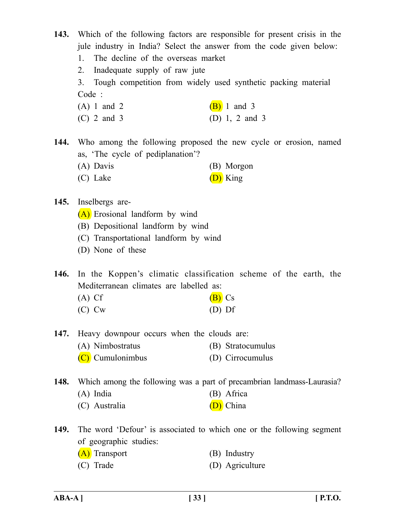**143.** Which of the following factors are responsible for present crisis in the jule industry in India? Select the answer from the code given below:

- 1. The decline of the overseas market
- 2. Inadequate supply of raw jute

3. Tough competition from widely used synthetic packing material Code :

(A) 1 and 2 (B) 1 and 3 (C) 2 and 3 (D) 1, 2 and 3

**144.** Who among the following proposed the new cycle or erosion, named as, 'The cycle of pediplanation'?

- (A) Davis (B) Morgon
- (C) Lake  $(D)$  King
- **145.** Inselbergs are-
	- (A) Erosional landform by wind
	- (B) Depositional landform by wind
	- (C) Transportational landform by wind
	- (D) None of these

**146.** In the Koppen's climatic classification scheme of the earth, the Mediterranean climates are labelled as:

(A) Cf  $(B)$  Cs (C) Cw (D) Df

**147.** Heavy downpour occurs when the clouds are: (A) Nimbostratus (B) Stratocumulus

(C) Cumulonimbus (D) Cirrocumulus

**148.** Which among the following was a part of precambrian landmass-Laurasia? (A) India (B) Africa

- (C) Australia (D) China
- **149.** The word 'Defour' is associated to which one or the following segment of geographic studies:
	- (A) Transport (B) Industry
	- (C) Trade (D) Agriculture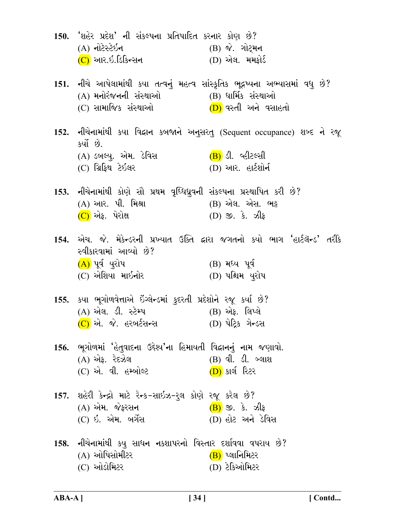| 150. 'શહેર પ્રદેશ' ની સંકલ્પના પ્રતિપાદિત કરનાર કોણ છે?<br>(A) નોટેસ્ટેઇન<br>( <mark>C)</mark> આર.ઇ.ડિકિન્સન                                              | (B) જે. ગોટ્મન<br>(D) એલ. મમફોર્ડ                                                                                    |
|-----------------------------------------------------------------------------------------------------------------------------------------------------------|----------------------------------------------------------------------------------------------------------------------|
| 151. નીચે આપેલામાંથી કયા તત્વનું મહત્વ સાંસ્કૃતિક ભૂદ્રષ્યના અભ્યાસમાં વધુ છે?<br>(A) મનોરંજનની સંસ્થાઓ        (B) ધાર્મિક સંસ્થાઓ<br>(C) સામાજિક સંસ્થાઓ | ( <mark>D)</mark> વસ્તી અને વસાહતો                                                                                   |
| કર્યો છે.<br>(A) ડબલ્યુ. એમ. ડેવિસ <mark>(B)</mark> ડી. વ્હીટલ્સી<br>(C) ગ્રિફિથ ટેઇલર                                                                    | 152. નીચેનામાંથી કયા વિદ્વાન કબજાને અનુસરતુ (Sequent occupance) શબ્દ ને રજૂ<br>(D) આર. હાર્ટશોર્ન                    |
| 153. નીચેનામાંથી કોણે સૌ પ્રથમ વૃધ્ધિધ્રુવની સંકલ્પના પ્રસ્થાપિત કરી છે?<br>(A) આર. પી. મિશ્રા<br>(C) એફ. પેરોક્ષ                                         | (B) એલ. એસ. ભટ્ટ<br>(D) 9. કે. ઝીફ                                                                                   |
| સ્વીકારવામાં આવ્યો છે?<br>(A) પૂર્વ યુરોપ<br>(C) એશિયા માઇનોર                                                                                             | 154. એચ. જે. મેકેન્ડરની પ્રખ્યાત ઉક્તિ દ્વારા જગતનો કયો ભાગ 'હાર્ટલૅન્ડ' તરીકે<br>(B) મધ્ય પૂર્વ<br>(D) પશ્ચિમ યુરોપ |
| 155. કયા ભૂગોળવેત્તાએ ઇંગ્લેન્ડમાં કુદરતી પ્રદેશોને રજૂ કર્યા છે?<br>(A) એલ. ડી. સ્ટેમ્પ<br>$(C)$ એ. જે. હરબર્ટસન્સ $(D)$ પેટ્રિક ગેન્ડસ                  | (B) એફ. લિપ્લે                                                                                                       |
| 156. ભૂગોળમાં 'હેતુવાદના ઉદ્દેશ્ય'ના હિમાયતી વિદ્વાનનું નામ જણાવો.<br>(A) એફ. રેદઝેલ<br>(C) એ. વી. હમ્બોલ્ટ                                               | (B) વી. ડી. બ્લાશ<br><u>(D)</u> કાર્લ રિટર                                                                           |
| 157. શહેરી કેન્દ્રો માટે રેન્ક−સાઇઝ−રુલ કોણે રજૂ કરેલ છે?<br>(A) એમ. જેફરસન<br>(C) ઈ. એમ. બર્ગેસ                                                          | <u>(B)</u> જી. કે. ઝીફ<br>(D) હોટ અને ડેવિસ                                                                          |
| 158. નીચેનામાંથી કયુ સાધન નકશાપરનો વિસ્તાર દર્શાવવા વપરાય છે?<br>(A) ઓપિસોમીટર<br>(C) ઓડોમિટર                                                             | (B) પ્લાનિમિટર<br>(D) ટેકિઓમિટર                                                                                      |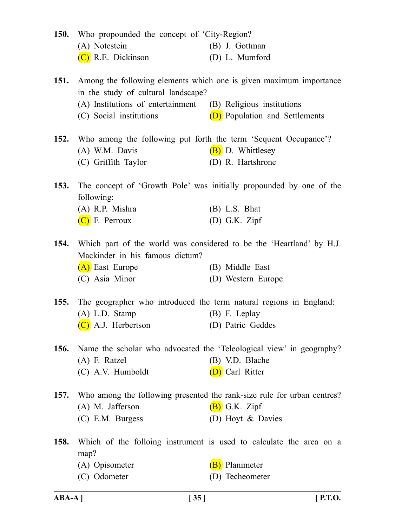|             | 150. Who propounded the concept of 'City-Region?                        |                                                                                              |
|-------------|-------------------------------------------------------------------------|----------------------------------------------------------------------------------------------|
|             | (A) Notestein                                                           | (B) J. Gottman                                                                               |
|             | $(C)$ R.E. Dickinson                                                    | (D) L. Mumford                                                                               |
|             |                                                                         | 151. Among the following elements which one is given maximum importance                      |
|             | in the study of cultural landscape?                                     |                                                                                              |
|             | (A) Institutions of entertainment (B) Religious institutions            |                                                                                              |
|             | (C) Social institutions                                                 | (D) Population and Settlements                                                               |
|             | 152. Who among the following put forth the term 'Sequent Occupance'?    |                                                                                              |
|             | (A) W.M. Davis                                                          | (B) D. Whittlesey                                                                            |
|             | (C) Griffith Taylor                                                     | (D) R. Hartshrone                                                                            |
|             | following:                                                              | 153. The concept of 'Growth Pole' was initially propounded by one of the                     |
|             | (A) R.P. Mishra                                                         | $(B)$ L.S. Bhat                                                                              |
|             | $(C)$ F. Perroux                                                        | $(D)$ G.K. Zipf                                                                              |
|             | Mackinder in his famous dictum?<br>(A) East Europe                      | 154. Which part of the world was considered to be the 'Heartland' by H.J.<br>(B) Middle East |
|             | (C) Asia Minor                                                          | (D) Western Europe                                                                           |
|             |                                                                         |                                                                                              |
|             | 155. The geographer who introduced the term natural regions in England: |                                                                                              |
|             | $(A)$ L.D. Stamp                                                        | $(B)$ F. Leplay                                                                              |
|             | (C) A.J. Herbertson (D) Patric Geddes                                   |                                                                                              |
| <b>156.</b> |                                                                         | Name the scholar who advocated the 'Teleological view' in geography?                         |
|             | (A) F. Ratzel                                                           | (B) V.D. Blache                                                                              |
|             | (C) A.V. Humboldt                                                       | (D) Carl Ritter                                                                              |
| <b>157.</b> |                                                                         | Who among the following presented the rank-size rule for urban centres?                      |
|             | (A) M. Jafferson                                                        | $(B)$ G.K. Zipf                                                                              |
|             | (C) E.M. Burgess                                                        | (D) Hoyt & Davies                                                                            |
| <b>158.</b> | map?                                                                    | Which of the folloing instrument is used to calculate the area on a                          |
|             | (A) Opisometer                                                          | (B) Planimeter                                                                               |
|             | (C) Odometer                                                            | (D) Techeometer                                                                              |
|             |                                                                         |                                                                                              |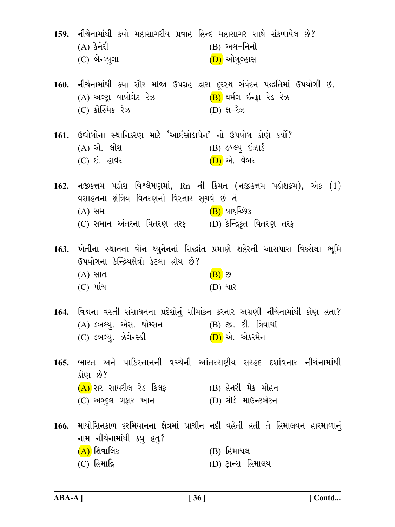| (C) બેન્ગ્યુલા<br>(D) ઓગુલ્હાસ                                                                                                                                                                                            |  |
|---------------------------------------------------------------------------------------------------------------------------------------------------------------------------------------------------------------------------|--|
| 160. નીચેનામાંથી કયા સૌર મોજા ઉપગ્રહ દ્વારા દૂરસ્થ સંવેદન પદ્ધતિમાં ઉપયોગી છે.<br>( <mark>B)</mark> થર્મલ ઇન્ફ્રા રેડ રેઝ<br>(A) અલ્ટ્રા વાયોલેટ રેઝ<br>(C) કોસ્મિક રેઝ<br>$(D)$ ક્ષ-રેઝ                                  |  |
| 161. ઉદ્યોગોના સ્થાનિકરણ માટે 'આઇસોડાપેન' નો ઉપયોગ કોણે કર્યો?<br>(A) એ. લોશ<br>(B) ડબ્લ્યુ ઇઝાર્ડ<br><u>(D)</u> એ. વેબર<br>(C) ઈ. હાવેર                                                                                  |  |
| 162. નજીકત્તમ પડોશ વિશ્લેષણમાં, Rn ની કિંમત (નજીકત્તમ પડોશક્રમ), એક $(1)$<br>વસાહતના ક્ષેત્રિય વિતરણનો વિસ્તાર સૂચવે છે તે<br><u>(B)</u> યાદ્દચ્છિક<br>$(A)$ સમ<br>(C) સમાન અંતરના વિતરણ તરફ    (D) કેન્દ્રિકૃત વિતરણ તરફ |  |
| 163. ખેતીના સ્થાનના વૉન થ્યુનેનનાં સિદ્ધાંત પ્રમાણે શહેરની આસપાસ વિકસેલા ભૂમિ<br>ઉપયોગના કેન્દ્રિયક્ષેત્રો કેટલા હોય છે?<br>$(A)$ સાત<br>$(B)$ $\varnothing$<br>$(C)$ પાંચ<br>(D) ચાર                                     |  |
| 164.  વિશ્વના વસ્તી સંસાધનના પ્રદેશોનું સીમાંકન કરનાર અગ્રણી નીચેનામાંથી કોણ હતા?<br>(B) જી. ટી. ત્રિવાર્થો<br>(A) ડબલ્યુ. એસ. થોમ્સ <b>ન</b><br>(C) ડબલ્યુ. ઝેલે <b>ન્</b> સ્કી<br>(D) એ. એકરમેન                         |  |
| 165. ભારત અને પાકિસ્તાનની વચ્ચેની આંતરરાષ્ટ્રીય સરહદ દર્શાવનાર નીચેનામાંથી<br>કોણ છે?<br>(B) હેનરી મેક મોહન<br>$(A)$ સર સાયરીલ રેડ કિલફ<br>(D) લૉર્ડ માઉન્ટબેટન<br>(C) અબ્દુલ ગફાર ખા <b>ન</b>                            |  |
| 166.  માયોસિનકાળ દરમિયાનના ક્ષેત્રમાં પ્રાચીન નદી વહેતી હતી તે હિમાલયન હારમાળાનું<br>નામ નીચેનામાંથી કયુ હતુ?                                                                                                             |  |
| $(A)$ શિવાલિક<br>(B) હિમાચલ<br>$(C)$ હિમાદ્રિ<br>(D) ટ્રાન્સ હિમાલય                                                                                                                                                       |  |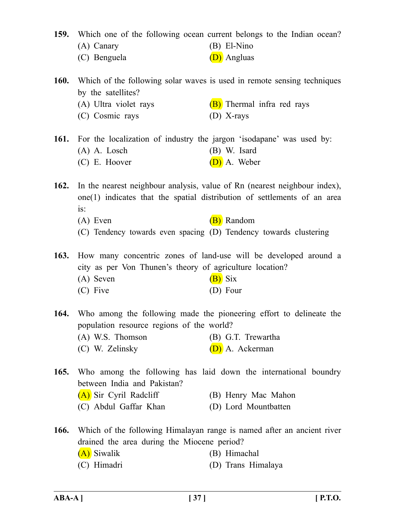|             | (A) Canary<br>(C) Benguela                                                                              | 159. Which one of the following ocean current belongs to the Indian ocean?<br>$(B)$ El-Nino<br>(D) Angluas                                                          |
|-------------|---------------------------------------------------------------------------------------------------------|---------------------------------------------------------------------------------------------------------------------------------------------------------------------|
|             | by the satellites?<br>(A) Ultra violet rays<br>(C) Cosmic rays                                          | 160. Which of the following solar waves is used in remote sensing techniques<br>(B) Thermal infra red rays<br>$(D)$ X-rays                                          |
| 161.        | For the localization of industry the jargon 'isodapane' was used by:<br>$(A)$ A. Losch<br>(C) E. Hoover | (B) W. Isard<br>(D) A. Weber                                                                                                                                        |
| 162.        | is:<br>$(A)$ Even<br>(C) Tendency towards even spacing (D) Tendency towards clustering                  | In the nearest neighbour analysis, value of Rn (nearest neighbour index),<br>one(1) indicates that the spatial distribution of settlements of an area<br>(B) Random |
| 163.        | city as per Von Thunen's theory of agriculture location?<br>(A) Seven<br>(C) Five                       | How many concentric zones of land-use will be developed around a<br>$(B)$ Six<br>(D) Four                                                                           |
| <b>164.</b> | population resource regions of the world?<br>(A) W.S. Thomson<br>(C) W. Zelinsky                        | Who among the following made the pioneering effort to delineate the<br>(B) G.T. Trewartha<br>(D) A. Ackerman                                                        |
| 165.        | between India and Pakistan?<br>(A) Sir Cyril Radcliff<br>(C) Abdul Gaffar Khan                          | Who among the following has laid down the international boundry<br>(B) Henry Mac Mahon<br>(D) Lord Mountbatten                                                      |
| <b>166.</b> | drained the area during the Miocene period?                                                             | Which of the following Himalayan range is named after an ancient river                                                                                              |

(A) Siwalik (B) Himachal<br>
(C) Himadri (D) Trans Hir

(D) Trans Himalaya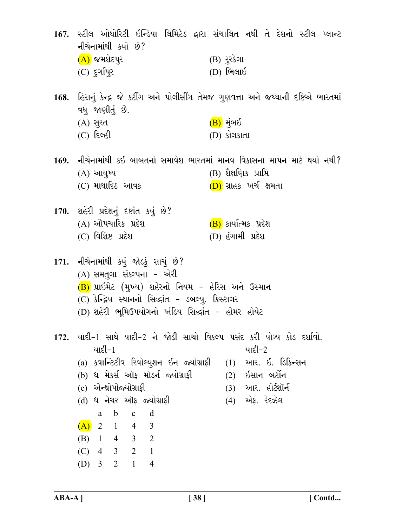167. સ્ટીલ ઓથોરિટી ઇન્ડિયા લિમિટેડ દ્વારા સંચાલિત નથી તે દેશનો સ્ટીલ પ્લાન્ટ નીચેનામાંથી કર્યો છે?  $(A)$  જમશેદપુર (B) રૂરકેલા (D) ભિલાઈ  $(C)$  દુર્ગાપુર 168. હિરાનું કેન્દ્ર જે કટીંગ અને પોલીસીંગ તેમજ ગુણવત્તા અને જથ્થાની દષ્ટિએ ભારતમાં વધ જાણીતું છે. (A) સુરત (B) મુંબઇ (C) દિલ્હી (D) કોલકાતા 169. નીચેનામાંથી કઇ બાબતનો સમાવેશ ભારતમાં માનવ વિકાસના માપન માટે થયો નથી?  $(B)$  શૈક્ષણિક પ્રાપ્તિ (A) આયુષ્ય (C) માથાદિઠ આવક (D) ગ્રાહક ખર્ચ ક્ષમતા 170. શહેરી પ્રદેશનું દષ્ટાંત કયું છે? (A) ઔપચારિક પ્રદેશ (B) કાર્યાત્મક પ્રદેશ  $(C)$  વિશિષ્ટ પ્રદેશ (D) હંગામી પ્રદેશ 171. નીચેનામાંથી કયું જોડકું સાચું છે? (A) સમતલા સંકલ્પના - એરી  $(B)$  પ્રાઇમેટ (મુખ્ય) શહેરનો નિયમ - હેરિસ અને ઉસ્માન (C) કેન્દ્રિય સ્થાનનો સિદ્ધાંત - ડબલ્યુ. ક્રિસ્ટાલર (D) શહેરી ભમિઉપયોગનો ખંડિય સિદ્ધાંત - હોમર હોયેટ  $172.$  યાદી-1 સાથે યાદી-2 ને જોડી સાચો વિકલ્પ પસંદ કરી યોગ્ય કોડ દર્શાવો. યાદી $-2$ યાદી-1 (a) ક્વાન્ટિટીવ રિવોલ્યુશન ઇન જ્યોગ્રાફી (1) આર. ઇ. ડિક<del>િન્</del>સન  $(2)$  ઈસાન બર્ટોન (b) ધ મેકર્સ ઑફ મૉડર્ન જયોગ્રાફી (3) આર. હોર્ટશૉર્ન (c) એન્થ્રોપોજ્યોગ્રાકી (4) એફ. રેદઝેલ (d) ધ નેચર ઑક જ્યોગ્રાકી a b  $\mathbf{c}$ d  $(A)$  2 1 4  $\mathcal{E}$ 

- $(B)$  1 4 3 2  $(C)$  4 3 2 1
- (D)  $3 \t2 \t1$  $\overline{4}$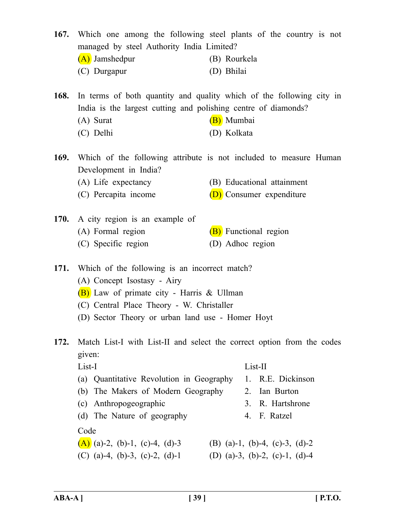**167.** Which one among the following steel plants of the country is not managed by steel Authority India Limited?

| (A) Jamshedpur | (B) Rourkela |
|----------------|--------------|
| (C) Durgapur   | (D) Bhilai   |

**168.** In terms of both quantity and quality which of the following city in India is the largest cutting and polishing centre of diamonds?

- (A) Surat (B) Mumbai
- (C) Delhi (D) Kolkata
- **169.** Which of the following attribute is not included to measure Human Development in India?
	- (A) Life expectancy (B) Educational attainment
	- (C) Percapita income  $(D)$  Consumer expenditure
- **170.** A city region is an example of (A) Formal region  $(B)$  Functional region
	- (C) Specific region (D) Adhoc region

**171.** Which of the following is an incorrect match?

- (A) Concept Isostasy Airy
- (B) Law of primate city Harris & Ullman
- (C) Central Place Theory W. Christaller
- (D) Sector Theory or urban land use Homer Hoyt
- **172.** Match List-I with List-II and select the correct option from the codes given:

| List-I                                   | List-II                        |
|------------------------------------------|--------------------------------|
| (a) Quantitative Revolution in Geography | 1. R.E. Dickinson              |
| (b) The Makers of Modern Geography       | 2. Ian Burton                  |
| (c) Anthropogeographic                   | 3. R. Hartshrone               |
| (d) The Nature of geography              | 4. F. Ratzel                   |
| Code                                     |                                |
| $(A)$ (a)-2, (b)-1, (c)-4, (d)-3         | (B) (a)-1, (b)-4, (c)-3, (d)-2 |
| (C) (a)-4, (b)-3, (c)-2, (d)-1           | (D) (a)-3, (b)-2, (c)-1, (d)-4 |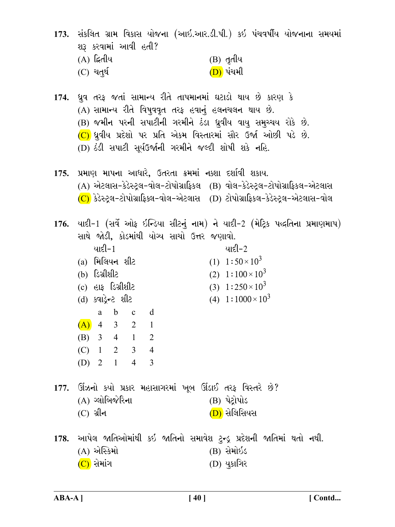| 173. સંકલિત ગ્રામ વિકાસ યોજના (આઇ.આર.ડી.પી.) કઇ પંચવર્ષીય યોજનાના સમયમાં<br>શરૂ કરવામાં આવી હતી?<br>$(A)$ દ્વિતીય<br>(B) તૃતીય                                                                                                                                                                                             |
|----------------------------------------------------------------------------------------------------------------------------------------------------------------------------------------------------------------------------------------------------------------------------------------------------------------------------|
| (D) પંચમી<br>$(C)$ ચતુર્થ                                                                                                                                                                                                                                                                                                  |
| 174. ધ્રુવ તરફ જતાં સામાન્ય રીતે તાપમાનમાં ઘટાડો થાય છે કારણ કે<br>(A) સામાન્ય રીતે વિષુવવૃત તરફ હવાનું હલનચલન થાય છે.<br>(B) જમીન પરની સપાટીની ગરમીને ઠંડા ધ્રુવીય વાયુ સમુચ્ચય રોકે છે.<br>$(C)$ ધ્રુવીય પ્રદેશો પર પ્રતિ એકમ વિસ્તારમાં સૌર ઉર્જા ઓછી પડે છે.<br>(D) ઠંડી સપાટી સૂર્યઉર્જાની ગરમીને જલ્દી શોષી શકે નહિ. |
| 175. પ્રમાણ માપના આધારે, ઉતરતા ક્રમમાં નક્શા દર્શાવી શકાય.                                                                                                                                                                                                                                                                 |
| (A) એટલાસ-કેડેસ્ટ્રલ-વોલ-ટોપોગ્રાફિકલ (B) વોલ-કેડેસ્ટ્રલ-ટોપોગ્રાફિકલ-એટલાસ                                                                                                                                                                                                                                                |
| (C) કેડેસ્ટ્રલ-ટોપોગ્રાફિક્લ-વોલ-એટલાસ (D) ટોપોગ્રાફિકલ-કેડેસ્ટ્રલ-એટલાસ-વોલ                                                                                                                                                                                                                                               |
|                                                                                                                                                                                                                                                                                                                            |
| 176. યાદી-1 (સર્વે ઓફ ઇન્ડિયા સીટનું નામ) ને યાદી-2 (મેટ્રિક પદ્ધતિના પ્રમાણમાપ)                                                                                                                                                                                                                                           |
| સાથે જોડી, કોડમાંથી યોગ્ય સાચો ઉત્તર જણાવો.                                                                                                                                                                                                                                                                                |
| યાદી-1<br>યાદી-2                                                                                                                                                                                                                                                                                                           |
| (1) $1:50 \times 10^3$<br>(a) મિલિયન શીટ                                                                                                                                                                                                                                                                                   |
| (b) ડિગ્રીશીટ<br>(2) $1:100 \times 10^3$                                                                                                                                                                                                                                                                                   |
| (3) $1:250 \times 10^3$<br>$(c)$ હાફ ડિગ્રીશીટ                                                                                                                                                                                                                                                                             |
| (4) $1:1000 \times 10^3$<br>(d) ક્વાડ્રેન્ટ શીટ                                                                                                                                                                                                                                                                            |
|                                                                                                                                                                                                                                                                                                                            |
| a b c d                                                                                                                                                                                                                                                                                                                    |
| $(A)$ 4 3 2 1                                                                                                                                                                                                                                                                                                              |
| (B) 3 4 1 2                                                                                                                                                                                                                                                                                                                |
| $(C)$ 1 2 3 4                                                                                                                                                                                                                                                                                                              |
| (D) $2 \t1 \t4 \t3$                                                                                                                                                                                                                                                                                                        |
|                                                                                                                                                                                                                                                                                                                            |
| 177. ઊંઝનો કયો પ્રકાર મહાસાગરમાં ખૂબ ઊંડાઈ તરફ વિસ્તરે છે?                                                                                                                                                                                                                                                                 |
| (A) ગ્લોબિજેરિના<br>(B) પેટ્રોપોડ                                                                                                                                                                                                                                                                                          |
| ( <mark>D)</mark> સેલિસિયસ<br>$(C)$ ગ્રીન                                                                                                                                                                                                                                                                                  |
|                                                                                                                                                                                                                                                                                                                            |
| 178. આપેલ જાતિઓમાંથી કઇ જાતિનો સમાવેશ ટુન્ડ્ર પ્રદેશની જાતિમાં થતો નથી.                                                                                                                                                                                                                                                    |
| (A) એસ્કિમો<br>(B) સેમોઇડ                                                                                                                                                                                                                                                                                                  |
| $(C)$ સેમાંગ<br>(D) યુકાગિર                                                                                                                                                                                                                                                                                                |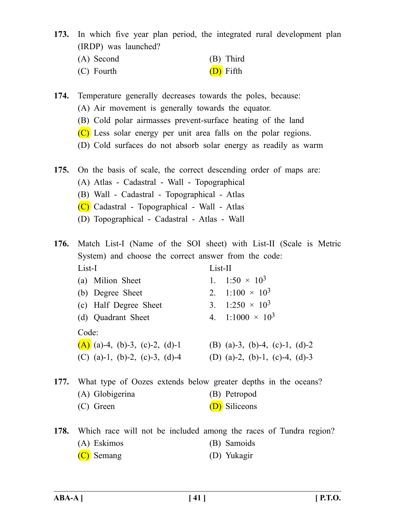**173.** In which five year plan period, the integrated rural development plan (IRDP) was launched?

| (A) Second | (B) Third |
|------------|-----------|
| (C) Fourth | (D) Fifth |

**174.** Temperature generally decreases towards the poles, because:

- (A) Air movement is generally towards the equator.
- (B) Cold polar airmasses prevent-surface heating of the land
- (C) Less solar energy per unit area falls on the polar regions.
- (D) Cold surfaces do not absorb solar energy as readily as warm
- **175.** On the basis of scale, the correct descending order of maps are:
	- (A) Atlas Cadastral Wall Topographical
	- (B) Wall Cadastral Topographical Atlas
	- (C) Cadastral Topographical Wall Atlas
	- (D) Topographical Cadastral Atlas Wall

**176.** Match List-I (Name of the SOI sheet) with List-II (Scale is Metric System) and choose the correct answer from the code:

| List-II                            |
|------------------------------------|
| 1. 1:50 $\times$ 10 <sup>3</sup>   |
| 2. 1:100 $\times$ 10 <sup>3</sup>  |
| 3. 1:250 $\times$ 10 <sup>3</sup>  |
| 4. 1:1000 $\times$ 10 <sup>3</sup> |
|                                    |
| (B) (a)-3, (b)-4, (c)-1, (d)-2     |
| (D) (a)-2, (b)-1, (c)-4, (d)-3     |
|                                    |

**177.** What type of Oozes extends below greater depths in the oceans? (A) Globigerina (B) Petropod

- (C) Green (D) Siliceons
- **178.** Which race will not be included among the races of Tundra region?
	- (A) Eskimos (B) Samoids
	- (C) Semang (D) Yukagir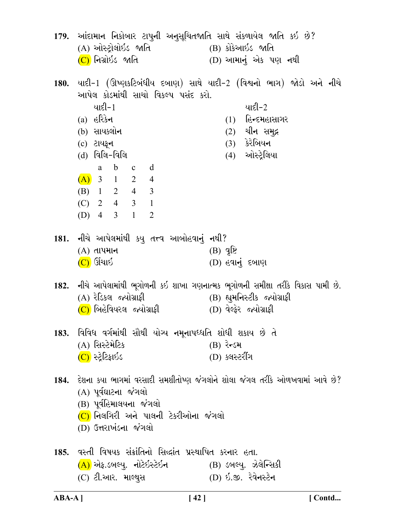|             | 179. આંદામાન નિકોબાર ટાપુની અનુસૂચિતજાતિ સાથે સંકળાયેલ જાતિ કઇ છે?<br>(A) ઓસ્ટ્રોલોઇડ જાતિ<br>(C) નિગ્રોઇડ જાતિ                                                                | (B) કોકેઆઇડ જાતિ<br>(D) આમાનું એક પણ નથી                                                                                                                           |
|-------------|--------------------------------------------------------------------------------------------------------------------------------------------------------------------------------|--------------------------------------------------------------------------------------------------------------------------------------------------------------------|
| <b>180.</b> | આપેલ કોડમાંથી સાચો વિકલ્પ પસંદ કરો.<br>યાદી-1<br>$(a)$ હરિકેન<br>(b) સાયક્લો <b>ન</b><br>(c) ટાયકૂન<br>(d) વિલિ-વિલિ<br>a b c d<br>(A) 3 1 2 4<br>(B) 1 2 4 3<br>$(C)$ 2 4 3 1 | ્યાદી−1 (ઊષ્ણકટિબંધીય દબાણ) સાથે યાદી−2 (વિશ્વનો ભાગ) જોડો અને નીચે<br>યાદી-2<br>$(1)$ હિન્દમહાસાગર<br>$(2)$ ચીન સમુદ્ર<br>(3) કેરેબિય <b>ન</b><br>(4) ઓસ્ટ્રેલિયા |
|             | (D) 4 3 1<br>$\overline{2}$<br>181. નીચે આપેલમાંથી કયુ તત્ત્વ આબોહવાનું નથી?<br>$(A)$ તાપમાન<br>(C) ઊંચાઇ                                                                      | $(B)$ q $\hat{B}$<br>(D) હવાનું દબાણ                                                                                                                               |
|             | (A) રેડિકલ જ્યોગ્રાફી<br><mark>(C)</mark> બિહેવિયરલ જ્યોગ્રાફી                                                                                                                 | 182. નીચે આપેલામાંથી ભૂગોળની કઇ શાખા ગણનાત્મક ભૂગોળની સમીક્ષા તરીકે વિકાસ પામી છે.<br>(B) હ્યુમનિસ્ટીક જ્યોગ્રાફી<br>(D) વેલ્ફેર જ્યોગ્રાફી                        |
| 183.        | વિવિધ વર્ગમાંથી સૌથી યોગ્ય નમૂનાપધ્ધતિ શોધી શકાય છે તે<br>(A) સિસ્ટેમેટિક<br>(C) સ્ટ્રેટિફાઇડ                                                                                  | (B) रे <b>न्</b> डम<br>(D) ક્લસ્ટરીંગ                                                                                                                              |
|             | (A) પૂર્વઘાટના જંગલો<br>(B) પૂર્વહિમાલયના જંગલો<br>$(C)$ નિલગિરી અને પાલની ટેકરીઓના જંગલો<br>(D) ઉત્તરાખંડના જંગલો                                                             | 184. દેશના કયા ભાગમાં વરસાદી સમશીતોષ્ણ જંગલોને શોલા જંગલ તરીકે ઓળખવામાં આવે છે?                                                                                    |
|             | 185. વસ્તી વિષયક સંક્રાંતિનો સિદ્ધાંત પ્રસ્થાપિત કરનાર હતા.<br>(A) એફ.ડબલ્યુ. નોટેઇસ્ટેઇન<br>(C) ટી.આર. માલ્થુસ                                                                | (B) ડબલ્યૂ. ઝેલેન્સિકી<br>(D) ઇ.જી. રેવેનસ્ટેન                                                                                                                     |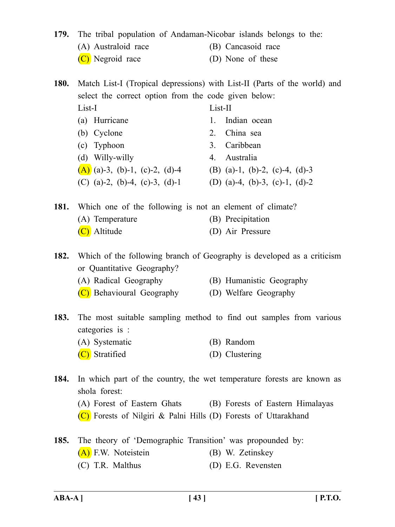**179.** The tribal population of Andaman-Nicobar islands belongs to the:

- (A) Australoid race (B) Cancasoid race
	- (C) Negroid race (D) None of these

**180.** Match List-I (Tropical depressions) with List-II (Parts of the world) and select the correct option from the code given below: List-I List-II

- (a) Hurricane 1. Indian ocean (b) Cyclone 2. China sea (c) Typhoon 3. Caribbean (d) Willy-willy 4. Australia (A) (a)-3, (b)-1, (c)-2, (d)-4 (B) (a)-1, (b)-2, (c)-4, (d)-3
	- (C) (a)-2, (b)-4, (c)-3, (d)-1 (D) (a)-4, (b)-3, (c)-1, (d)-2

**181.** Which one of the following is not an element of climate?

(A) Temperature (B) Precipitation (C) Altitude (D) Air Pressure

**182.** Which of the following branch of Geography is developed as a criticism or Quantitative Geography?

- (A) Radical Geography (B) Humanistic Geography
- (C) Behavioural Geography (D) Welfare Geography
- **183.** The most suitable sampling method to find out samples from various categories is :
	- (A) Systematic (B) Random (C) Stratified (D) Clustering
- **184.** In which part of the country, the wet temperature forests are known as shola forest:
	- (A) Forest of Eastern Ghats (B) Forests of Eastern Himalayas
	- (C) Forests of Nilgiri & Palni Hills (D) Forests of Uttarakhand
- **185.** The theory of 'Demographic Transition' was propounded by: (A) F.W. Noteistein (B) W. Zetinskey (C) T.R. Malthus (D) E.G. Revensten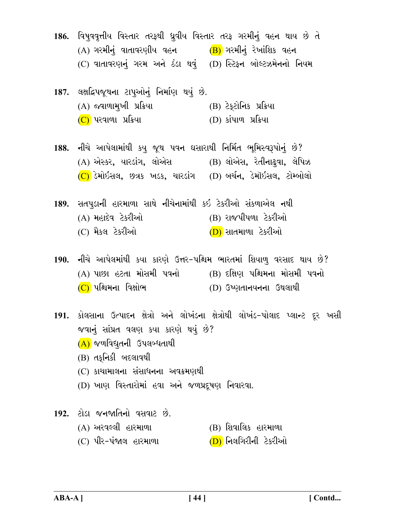- 186. વિષુવવૃત્તીય વિસ્તાર તરફથી ધ્રુવીય વિસ્તાર તરફ ગરમીનું વહન થાય છે તે  $(A)$  ગરમીનું વાતાવરણીય વહન  $(B)$ ગરમીનું રેખાંશિક વહન (C) વાતાવરણનું ગરમ અને ઠંડા થવું (D) સ્ટિફન બોલ્ટઝમેનનો નિયમ
- 187. લક્ષદ્વિપજૂથના ટાપુઓનું નિર્માણ થયું છે.  $(A)$  જવાળામુખી પ્રક્રિયા  $(B)$  ટેકટોનિક પ્રક્રિયા  $(C)$  પરવાળા પ્રક્રિયા (D) કાંપાળ પ્રક્રિયા
- 188. નીચે આપેલામાંથી કયુ જૂથ પવન ઘસારાથી નિર્મિત ભૂમિસ્વરૂપોનું છે? (A) એસ્કર, યારડાંગ, લોએસ (B) લોએસ, રેતીનાઢવા, લેપિઝ  $(C)$  ડેમોઇસલ, છત્રક ખડક, ચારડાંગ  $(D)$  બર્ચન, ડેમૉઇસલ, ટોમ્બોલો
- 189. સતપુડાની હારમાળા સાથે નીચેનામાંથી કઇ ટેકરીઓ સંકળાએલ નથી (B) રાજપીપળા ટેકરીઓ (A) મહાદેવ ટેકરીઓ (C) મૈકલ ટેકરીઓ (<mark>D)</mark> સાતમાળા ટેકરીઓ
- 190. નીચે આપેલમાંથી કયા કારણે ઉત્તર-પશ્ચિમ ભારતમાં શિયાળ વરસાદ થાય છે? (A) પાછા હટતા મોસમી પવનો (B) દક્ષિણ પશ્ચિમના મોસમી પવનો (C) પશ્ચિમના વિક્ષોભ (D) ઉષ્ણતાનયનના ઉથલાથી
- 191. કોલસાના ઉત્પાદન ક્ષેત્રો અને લોખંડના ક્ષેત્રોથી લોખંડ-પોલાદ પ્લાન્ટ દૂર ખસી જવાનું સાંપ્રત વલણ કયા કારણે થયું છે? (A) જળવિદ્યુતની ઉપલબ્ધતાથી  $(B)$  તકનિકી બદલાવથી (C) કાચામાલના સંસાધનના અવક્રમણથી (D) ખાણ વિસ્તારોમાં હવા અને જળપ્રદૂષણ નિવારવા.
- 192. ટોડા જનજાતિનો વસવાટ છે. (A) અરવલ્લી હારમાળા (B) શિવાલિક હારમાળા (C) પીર-પંજાલ હારમાળા (D) નિલગિરીની ટેકરીઓ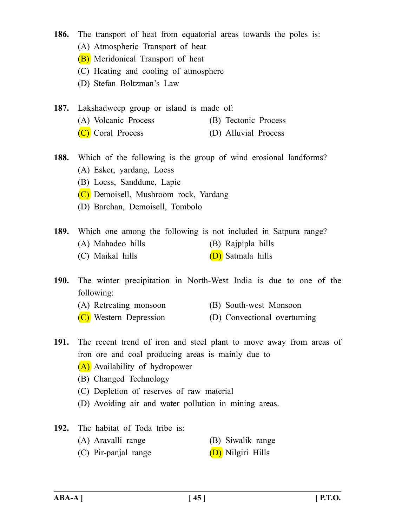- **186.** The transport of heat from equatorial areas towards the poles is: (A) Atmospheric Transport of heat (B) Meridonical Transport of heat (C) Heating and cooling of atmosphere (D) Stefan Boltzman's Law **187.** Lakshadweep group or island is made of: (A) Volcanic Process (B) Tectonic Process (C) Coral Process (D) Alluvial Process **188.** Which of the following is the group of wind erosional landforms? (A) Esker, yardang, Loess (B) Loess, Sanddune, Lapie (C) Demoisell, Mushroom rock, Yardang (D) Barchan, Demoisell, Tombolo **189.** Which one among the following is not included in Satpura range? (A) Mahadeo hills (B) Rajpipla hills (C) Maikal hills (D) Satmala hills **190.** The winter precipitation in North-West India is due to one of the following: (A) Retreating monsoon (B) South-west Monsoon (C) Western Depression (D) Convectional overturning **191.** The recent trend of iron and steel plant to move away from areas of iron ore and coal producing areas is mainly due to (A) Availability of hydropower
	- (B) Changed Technology
	- (C) Depletion of reserves of raw material
	- (D) Avoiding air and water pollution in mining areas.
	- **192.** The habitat of Toda tribe is:
		- (A) Aravalli range (B) Siwalik range
		- (C) Pir-panjal range (D) Nilgiri Hills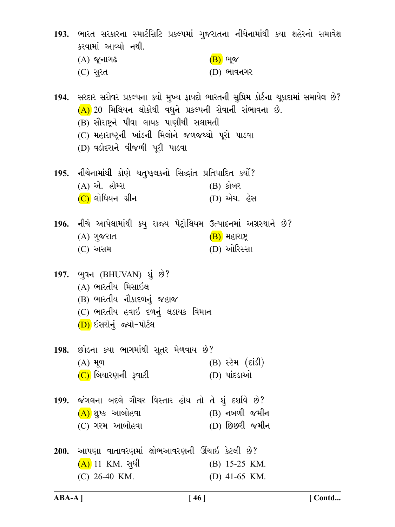|                                                                                                                                                                                          | 193. ભારત સરકારના સ્માર્ટસિટિ પ્રકલ્પમાં ગુજરાતના નીચેનામાંથી કયા શહેરનો સમાવેશ           |
|------------------------------------------------------------------------------------------------------------------------------------------------------------------------------------------|-------------------------------------------------------------------------------------------|
| કરવામાં આવ્યો નથી.                                                                                                                                                                       |                                                                                           |
| $(A)$ જૂનાગઢ                                                                                                                                                                             | $(B)$ ભૂજ                                                                                 |
| $(C)$ સુરત                                                                                                                                                                               | (D) ભાવ <b>ન</b> ગર                                                                       |
| (A) 20 મિલિયન લોકોથી વધુને પ્રકલ્પની સેવાની સંભાવના છે.<br>(B) સૌરાષ્ટ્રને પીવા લાયક પાણીથી સલામતી<br>(C) મહારાષ્ટ્રની ખાંડની મિલોને જળજથ્થો પૂરો પાડવા<br>(D) વડોદરાને વીજળી પૂરી પાડવા | 194.  સરદાર સરોવર પ્રકલ્પના કર્યો મુખ્ય ફાયદો ભારતની સુપ્રિમ કોર્ટના ચૂકાદામાં સમાયેલ છે? |
| 195. નીચેનામાંથી કોણે ચતુષ્કલકનો સિદ્ધાંત પ્રતિપાદિત કર્યો?                                                                                                                              |                                                                                           |
| (A) એ. હોમ્સ                                                                                                                                                                             | (B) કોબર                                                                                  |
| $(C)$ લોધિયન ગ્રીન                                                                                                                                                                       | (D) એચ. હેસ                                                                               |
| 196. નીચે આપેલામાંથી કયુ રાજ્ય પેટ્રોલિયમ ઉત્પાદનમાં અગ્રસ્થાને છે?<br>$(A)$ ગુજરાત<br>$(C)$ અસમ                                                                                         | (B) મહારાષ્ટ્ર<br>(D) ઓરિસ્સા                                                             |
| 197. ભુવન (BHUVAN) શું છે?<br>(A) ભારતીય મિસાઈલ<br>(B) ભારતીય નૌકાદળનું જહાજ<br>(C) ભારતીય હવાઇ દળનું લડાયક વિમાન<br>(D) ઇસરોનું જ્યો-પોર્ટલ                                             |                                                                                           |
| 198. છોડના કયા ભાગમાંથી સૂતર મેળવાય છે?                                                                                                                                                  |                                                                                           |
| $(A)$ મૂળ                                                                                                                                                                                | (B) સ્ટેમ (દાંડી)                                                                         |
| (C) બિયારણની રૂવાટી                                                                                                                                                                      | (D) પાંદડાઓ                                                                               |
| 199. જંગલના બદલે ગૌચર વિસ્તાર હોય તો તે શું દર્શાવે છે?<br>(A) શુષ્ક આબોહવા<br>(C) ગરમ આબોહવા                                                                                            | $(B)$ નબળી જમીન<br>(D) છિછરી જમીન                                                         |
| 200. આપણા વાતાવરણમાં ક્ષોભઆવરણની ઊંચાઇ કેટલી છે?                                                                                                                                         |                                                                                           |
| $(A)$ 11 KM. સુધી                                                                                                                                                                        | (B) 15-25 KM.                                                                             |
|                                                                                                                                                                                          |                                                                                           |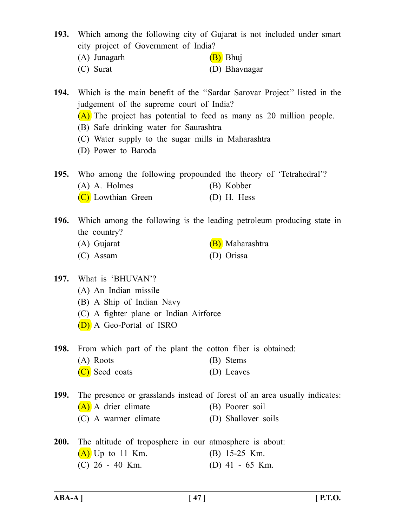- **193.** Which among the following city of Gujarat is not included under smart city project of Government of India?
	- (A) Junagarh  $(B)$  Bhuj
	- (C) Surat (D) Bhavnagar

**194.** Which is the main benefit of the ''Sardar Sarovar Project'' listed in the judgement of the supreme court of India?

- (A) The project has potential to feed as many as 20 million people.
- (B) Safe drinking water for Saurashtra
- (C) Water supply to the sugar mills in Maharashtra
- (D) Power to Baroda

**195.** Who among the following propounded the theory of 'Tetrahedral'?

- (A) A. Holmes (B) Kobber
- (C) Lowthian Green (D) H. Hess
- **196.** Which among the following is the leading petroleum producing state in the country?
	- (A) Gujarat (B) Maharashtra
	- (C) Assam (D) Orissa
- **197.** What is 'BHUVAN'?
	- (A) An Indian missile
	- (B) A Ship of Indian Navy
	- (C) A fighter plane or Indian Airforce
	- (D) A Geo-Portal of ISRO

**198.** From which part of the plant the cotton fiber is obtained:

- (A) Roots (B) Stems
- (C) Seed coats (D) Leaves
- **199.** The presence or grasslands instead of forest of an area usually indicates:
	- (A) A drier climate (B) Poorer soil
	- (C) A warmer climate (D) Shallover soils
- **200.** The altitude of troposphere in our atmosphere is about: (A) Up to 11 Km. (B) 15-25 Km. (C) 26 - 40 Km. (D) 41 - 65 Km.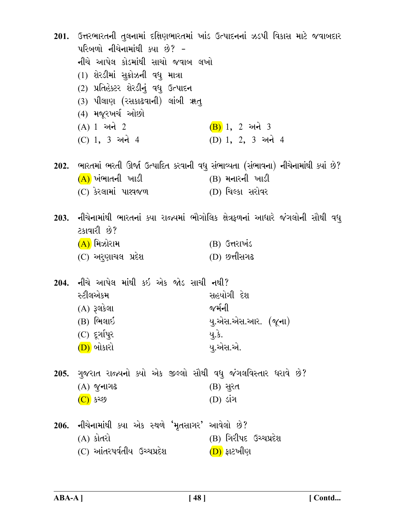|             | 201.   ઉત્તરભારતની તુલનામાં દક્ષિણભારતમાં ખાંડ ઉત્પાદનનાં ઝડપી વિકાસ માટે જવાબદાર<br>પરિબળો નીચેનામાંથી ક્યા છે? -<br>નીચે આપેલ કોડમાંથી સાચો જવાબ લખો<br>(1) શેરડીમાં સુક્રોઝની વધુ માત્રા<br>(2) પ્રતિહેક્ટર શેરડીનું વધુ ઉત્પાદન<br>(3) પીલાણ (રસકાઢવાની) લાંબી ૠતુ<br>(4) મજૂરખર્ચ ઓછો |                                                                                                                                |
|-------------|--------------------------------------------------------------------------------------------------------------------------------------------------------------------------------------------------------------------------------------------------------------------------------------------|--------------------------------------------------------------------------------------------------------------------------------|
|             | $(A) 1 $ અને 2<br>$(C)$ 1, 3 અને 4                                                                                                                                                                                                                                                         | $(B)$ 1, 2 અને 3<br>(D) 1, 2, 3 અને 4                                                                                          |
|             | (A) ખંભાતની ખાડી<br>$(C)$ કેરલામાં પાશ્વજળ                                                                                                                                                                                                                                                 | 202. ભારતમાં ભરતી ઊર્જા ઉત્પાદિત કરવાની વધુ સંભાવ્યતા (સંભાવના) નીચેનામાંથી ક્યાં છે?<br>$(B)$ મનારની ખાડી<br>(D) ચિલ્કા સરોવર |
|             | ટકાવારી છે?<br>(A) મિઝોરામ<br>$(C)$ અરુણાચલ પ્રદેશ                                                                                                                                                                                                                                         | 203.  નીચેનામાંથી ભારતનાં ક્યા રાજ્યમાં ભૌગોલિક ક્ષેત્રફળનાં આધારે જંગલોની સૌથી વધુ<br>(B) ઉત્તરાખંડ<br>(D) છત્તીસગઢ           |
|             | 204. નીચે આપેલ માંથી કઇ એક જોડ સાચી નથી?<br>સ્ટીલએકમ<br>$(A)$ રૂલકેલા<br>$(B)$ ભિલાઈ<br>$(C)$ દૂર્ગાપુર<br>(D) બોકારો                                                                                                                                                                      | સહયોગી દેશ<br>જર્મની<br>યુ.એસ.એસ.આર. (જૂના)<br>યુ.કે.<br>યુ.એસ.એ.                                                              |
|             | 205. ગુજરાત રાજ્યનો ક્યો એક જીલ્લો સૌથી વધુ જંગલવિસ્તાર ધરાવે છે?<br>$(A)$ જુનાગઢ<br><u>(C)</u> કચ્છ                                                                                                                                                                                       | (B) સુરત<br>(D) ડાંગ                                                                                                           |
| <b>206.</b> | નીચેનામાંથી ક્યા એક સ્થળે 'મૃતસાગર' આવેલો છે?<br>(A) કોતરો<br>(C) આંતરપર્વતીય ઉચ્ચપ્રદેશ                                                                                                                                                                                                   | (B) ગિરીપદ ઉચ્ચપ્રદેશ<br>(D) ફાટખીણ                                                                                            |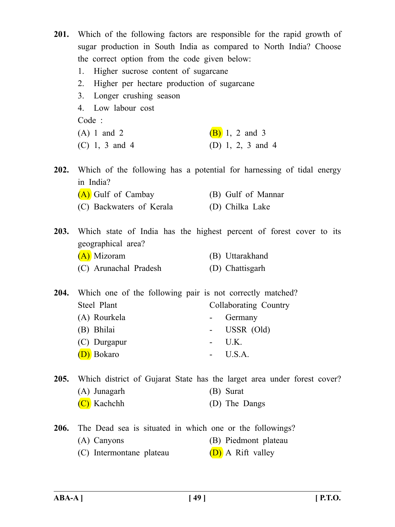**201.** Which of the following factors are responsible for the rapid growth of sugar production in South India as compared to North India? Choose the correct option from the code given below: 1. Higher sucrose content of sugarcane 2. Higher per hectare production of sugarcane 3. Longer crushing season 4. Low labour cost Code : (A) 1 and 2 (B) 1, 2 and 3 (C) 1, 3 and 4 (D) 1, 2, 3 and 4 **202.** Which of the following has a potential for harnessing of tidal energy in India? (A) Gulf of Cambay (B) Gulf of Mannar (C) Backwaters of Kerala (D) Chilka Lake **203.** Which state of India has the highest percent of forest cover to its geographical area? (A) Mizoram (B) Uttarakhand (C) Arunachal Pradesh (D) Chattisgarh **204.** Which one of the following pair is not correctly matched? Steel Plant Collaborating Country (A) Rourkela - Germany (B) Bhilai - USSR (Old) (C) Durgapur - U.K. (D) Bokaro - U.S.A. **205.** Which district of Gujarat State has the larget area under forest cover? (A) Junagarh (B) Surat (C) Kachchh (D) The Dangs **206.** The Dead sea is situated in which one or the followings? (A) Canyons (B) Piedmont plateau

(C) Intermontane plateau  $(D)$  A Rift valley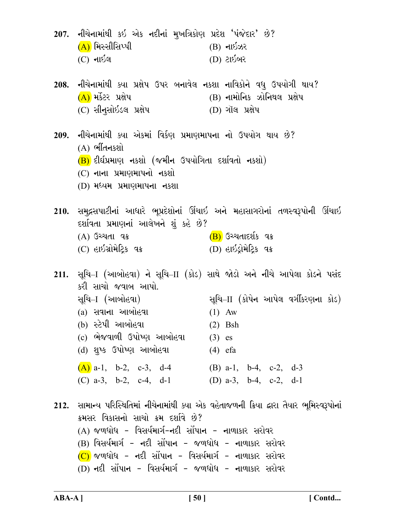207. નીચેનામાંથી કઇ એક નદીનાં મુખત્રિકોણ પ્રદેશ 'પંજેદાર' છે?  $(A)$  મિસ્સીસિપ્પી  $(B)$  નાઇઝર  $(C)$  નાઈલ (D) ટાઈબર 208. નીચેનામાંથી ક્યા પ્રક્ષેપ ઉપર બનાવેલ નકશા નાવિકોને વધ ઉપયોગી થાય? (B) નામોનિક ઝોનિથલ પ્રક્ષેપ  $(A)$  મર્કેટર પ્રક્ષેપ (C) સીનસોઇડલ પ્રક્ષેપ (D) ગૉલ પ્રક્ષેપ 209. નીચેનામાંથી ક્યા એકમાં વિર્કણ પ્રમાણમાપના નો ઉપયોગ થાય છે?  $(A)$  ભીતનકશો  $(B)$  દીર્ઘપ્રમાણ નકશો (જમીન ઉપયોગિતા દર્શાવતો નકશો)  $(C)$  નાના પ્રમાણમાપનો નકશો (D) મધ્યમ પ્રમાણમાપના નકશા 210. સમુદ્રસપાટીનાં આધારે ભૂપ્રદેશોનાં ઊંચાઇ અને મહાસાગરોનાં તળસ્વરૂપોની ઊંચાઇ દર્શાવતા પ્રમાણનાં આલેખને શું કહે છે? (B) ઉચ્ચતાદર્શક વક્ર (A) ઉચ્ચતા વક્ર (C) હાઇગ્રોમેટિક વક્ર  $(D)$  હાઇડ્રોમેટ્રિક વક્ર 211. સૂચિ–I (આબોહવા) ને સૂચિ–II (કોડ) સાથે જોડો અને નીચે આપેલા કોડને પસંદ કરી સાચો જવાબ આપો. સૂચિ–I (આબોહવા) સૂચિ–II (કોપેન આપેલ વર્ગીકરણના કોડ) (a) સવાના આબોહવા  $(1)$  Aw (b) સ્ટેપી આબોહવા  $(2)$  Bsh (c) ભેજવાળી ઉપોષ્ણ આબોહવા  $(3)$  es (d) શુષ્ક ઉપોષ્ણ આબોહવા  $(4)$  efa  $(A)$  a-1, b-2, c-3, d-4 (B) a-1, b-4, c-2, d-3 (C)  $a-3$ ,  $b-2$ ,  $c-4$ ,  $d-1$ (D) a-3, b-4, c-2, d-1 212. સામાન્ય પરિસ્થિતિમાં નીચેનામાંથી ક્યા એક વહેતાજળની ક્રિયા દ્વારા તૈયાર ભૂમિસ્વરૂપોનાં ક્રમસર વિકાસનો સાચો ક્રમ દર્શાવે છે?  $(A)$  જળધોધ - વિસર્યમાર્ગ-નદી સોંપાન - નાળાકાર સરોવર (B) વિસર્યમાર્ગ - નદી સોંપાન - જળધોધ - નાળાકાર સરોવર

- $(C)$  જળધોધ નદી સોંપાન વિસર્યમાર્ગ નાળાકાર સરોવર
- (D) નદી સોંપાન વિસર્યમાર્ગ જળધોધ નાળાકાર સરોવર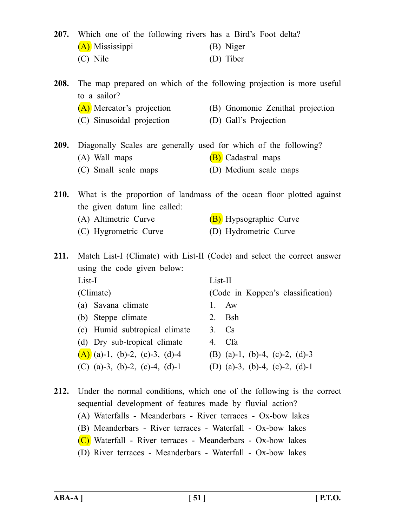**207.** Which one of the following rivers has a Bird's Foot delta?

- (A) Mississippi (B) Niger
	- (C) Nile (D) Tiber
- **208.** The map prepared on which of the following projection is more useful to a sailor? (A) Mercator's projection (B) Gnomonic Zenithal projection
	- (C) Sinusoidal projection (D) Gall's Projection
	-
- **209.** Diagonally Scales are generally used for which of the following? (A) Wall maps  $(B)$  Cadastral maps
	- (C) Small scale maps (D) Medium scale maps

**210.** What is the proportion of landmass of the ocean floor plotted against the given datum line called:

- (A) Altimetric Curve (B) Hypsographic Curve
- (C) Hygrometric Curve (D) Hydrometric Curve

**211.** Match List-I (Climate) with List-II (Code) and select the correct answer using the code given below:

| List-I                           | List-II                           |
|----------------------------------|-----------------------------------|
| (Climate)                        | (Code in Koppen's classification) |
| (a) Savana climate               | $1. \quad \text{Aw}$              |
| (b) Steppe climate               | $2.$ Bsh                          |
| (c) Humid subtropical climate    | $3. \quad Cs$                     |
| (d) Dry sub-tropical climate     | 4. Cfa                            |
| $(A)$ (a)-1, (b)-2, (c)-3, (d)-4 | (B) (a)-1, (b)-4, (c)-2, (d)-3    |
| (C) (a)-3, (b)-2, (c)-4, (d)-1   | (D) (a)-3, (b)-4, (c)-2, (d)-1    |

- **212.** Under the normal conditions, which one of the following is the correct sequential development of features made by fluvial action?
	- (A) Waterfalls Meanderbars River terraces Ox-bow lakes
	- (B) Meanderbars River terraces Waterfall Ox-bow lakes
	- (C) Waterfall River terraces Meanderbars Ox-bow lakes
	- (D) River terraces Meanderbars Waterfall Ox-bow lakes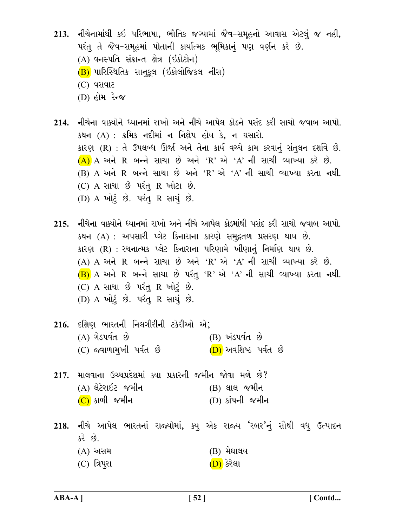- 213. નીચેનામાંથી કઇ પરિભાષા, ભૌતિક જગ્યામાં જૈવ-સમહનો આવાસ એટલું જ નહી, પરંતુ તે જૈવ-સમૂહમાં પોતાની કાર્યાત્મક ભૂમિકાનું પણ વર્ણન કરે છે. (A) વનસ્પતિ સંક્રાન્ત ક્ષેત્ર (ઇકોટોન)  $(B)$  પારિસ્થિતિક સાનૂકૂલ (ઇકોલોજિકલ નીસ) **(C)** વસવાટ (D) હોમ રેન્જ
- 214. નીચેના વાક્યોને ધ્યાનમાં રાખો અને નીચે આપેલ કોડને પસંદ કરી સાચો જવાબ આપો. કથન (A) : ક્રમિક નદીમાં ન નિક્ષેપ હોય કે, ન ઘસારો. કારણ (R) : તે ઉપલબ્ધ ઊર્જા અને તેના કાર્ય વચ્ચે કામ કરવાનું સંતુલન દર્શાવે છે.  $(A)$  A અને R બન્ને સાચા છે અને 'R' એ 'A' ની સાચી વ્યાખ્યા કરે છે.  $(B)$  A અને R બન્ને સાચા છે અને 'R' એ 'A' ની સાચી વ્યાખ્યા કરતા નથી.  $(C)$  A સાચા છે પરંત R ખોટા છે. (D) A ખોટું છે. પરંતુ R સાચું છે.
- 215. નીચેના વાક્યોને ધ્યાનમાં રાખો અને નીચે આપેલ કોડમાંથી પસંદ કરી સાચો જવાબ આપો. કથન (A) : અપસારી પ્લેટ કિનારાના કારણે સમદ્રતળ પ્રસરણ થાય છે. કારણ (R) : રચનાત્મક પ્લેટ કિનારાના પરિણામે ખીણાનું નિર્માણ થાય છે.  $(A)$  A અને R બન્ને સાચા છે અને 'R' એ 'A' ની સાચી વ્યાખ્યા કરે છે.  $(B)$  A અને R બન્ને સાચા છે પરંતુ 'R' એ 'A' ની સાચી વ્યાખ્યા કરતા નથી. (C) A સાચા છે પરંત R ખોટું છે. (D) A ખોટું છે. પરંતુ R સાચું છે.
- 216. દક્ષિણ ભારતની નિલગીરીની ટકેરીઓ એ;  $(B)$  ખંડપૂર્વત છે  $(A)$  ગેડપર્વત છે (C) જ્વાળામુખી પર્વત છે (D) અવશિષ્ઠ પર્વત છે
- 217. માલવાના ઉચ્ચપ્રદેશમાં ક્યા પ્રકારની જમીન જોવા મળે છે? (A) લેટેરાઇટ જમીન  $(B)$  લાલ જમીન  $(C)$  કાળી જમીન (D) કાંપની જમીન
- 218. નીચે આપેલ ભારતનાં રાજ્યોમાં, ક્યુ એક રાજ્ય 'રબર'નું સૌથી વધુ ઉત્પાદન કરે છે.
	- **(A)** અસમ (B) મેઘાલય
	- $(C)$  ત્રિપુરા <u>(D)</u> કેરેલા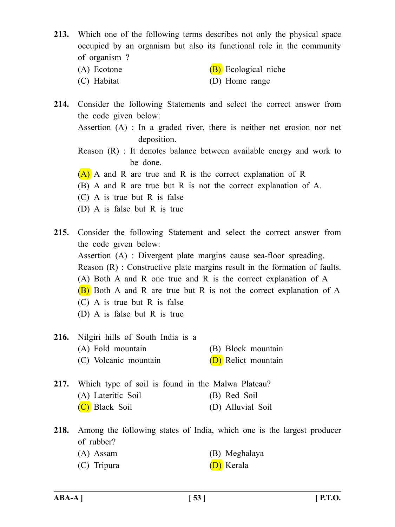- **213.** Which one of the following terms describes not only the physical space occupied by an organism but also its functional role in the community of organism ?
	- (A) Ecotone (B) Ecological niche
	- (C) Habitat (D) Home range
		-
- **214.** Consider the following Statements and select the correct answer from the code given below:
	- Assertion (A) : In a graded river, there is neither net erosion nor net deposition.
	- Reason (R) : It denotes balance between available energy and work to be done.
	- (A) A and R are true and R is the correct explanation of R
	- (B) A and R are true but R is not the correct explanation of A.
	- (C) A is true but R is false
	- (D) A is false but R is true
- **215.** Consider the following Statement and select the correct answer from the code given below: Assertion (A) : Divergent plate margins cause sea-floor spreading. Reason (R) : Constructive plate margins result in the formation of faults. (A) Both A and R one true and R is the correct explanation of A (B) Both A and R are true but R is not the correct explanation of A (C) A is true but R is false (D) A is false but R is true
- **216.** Nilgiri hills of South India is a (A) Fold mountain (B) Block mountain (C) Volcanic mountain (D) Relict mountain

**217.** Which type of soil is found in the Malwa Plateau?

- (A) Lateritic Soil (B) Red Soil
- (C) Black Soil (D) Alluvial Soil
- **218.** Among the following states of India, which one is the largest producer of rubber?
	- (A) Assam (B) Meghalaya
	- (C) Tripura (D) Kerala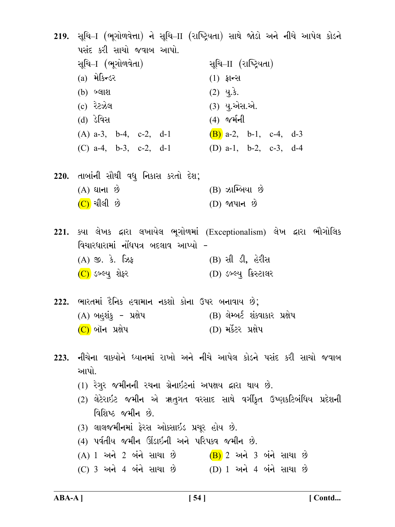|                                                         | 219. સૂચિ–I (ભૂગોળવેત્તા) ને સૂચિ–II (રાષ્ટ્રિયતા) સાથે જોડો અને નીચે આપેલ કોડને |
|---------------------------------------------------------|----------------------------------------------------------------------------------|
| પસંદ કરી સાચો જવાબ આપો.                                 |                                                                                  |
| સૂચિ–I (ભૂગોળવેતા)                                      | સૂચિ–II (રાષ્ટ્રિયતા)                                                            |
| $(a)$ મેકિન્ડર                                          | $(1)$ ईान्स                                                                      |
| (b) બ્લાશ                                               | $(2)$ 4.3.                                                                       |
| (c) રેટઝેલ                                              | (3) યુ.એસ.એ.                                                                     |
| (d) ડેવિસ                                               | $(4)$ જર્મની                                                                     |
| (A) a-3, b-4, c-2, d-1 $(B)$ a-2, b-1, c-4, d-3         |                                                                                  |
| (C) a-4, b-3, c-2, d-1                                  | (D) a-1, b-2, c-3, d-4                                                           |
| 220. તાબાંની સૌથી વધુ નિકાસ કરતો દેશ;                   |                                                                                  |
| $(A)$ ધાના છે                                           | $(B)$ ઝામ્બિયા છે                                                                |
| <u>(C)</u> ચીલી છે                                      | $(D)$ જાપાન છે                                                                   |
|                                                         |                                                                                  |
|                                                         | 221. ક્યા લેખક દ્વારા લખાયેલ ભૂગોળમાં (Exceptionalism) લેખ દ્વારા ભૌગોલિક        |
| વિચારધારામાં નોંધપત્ર બદલાવ આપ્યો -                     |                                                                                  |
| $(A)$ $\infty$ . $\delta$ . [ઝફ                         | (B) સી ડી, હેરીસ                                                                 |
| (C) ડબ્લ્યુ શેફર                                        | (D) ડબ્લ્યુ ક્રિસ્ટાલર                                                           |
|                                                         |                                                                                  |
| 222. ભારતમાં દૈનિક હવામાન નકશો કોના ઉપર બનાવાય છે;      |                                                                                  |
| (A) બહુશંકુ - પ્રક્ષેપ                                  | (B) લેમ્બર્ટ શંકવાકાર પ્રક્ષેપ                                                   |
| (C) બૉન પ્રક્ષેપ                                        | (D) મર્કેટર પ્રક્ષેપ                                                             |
|                                                         |                                                                                  |
|                                                         | 223. નીચેના વાક્યોને ધ્યાનમાં રાખો અને નીચે આપેલ કોડને પસંદ કરી સાચો જવાબ        |
| આપો.                                                    |                                                                                  |
| (1) રેગુર જમીનની રચના ગ્રેનાઇટનાં અપક્ષય દ્રારા થાય છે. |                                                                                  |
|                                                         | (2) લેટેરાઇટ જમીન એ ૠતુગત વરસાદ સાથે વર્ગીકૃત ઉષ્ણકટિબંધિય પ્રદેશની              |
| વિશિષ્ઠ જમીન છે.                                        |                                                                                  |
| (3) લાલજમીનમાં ફેરસ ઓક્સાઇડ પ્રચૂર હોય છે.              |                                                                                  |
|                                                         |                                                                                  |

- (4) पर्वतीय જમીન ઊંડાઇની અને પરિપક્વ જમીન છે.
- $(A)$  1 અને 2 બંને સાચા છે  $(B)$  2 અને 3 બંને સાચા છે
- (C) 3 અને 4 બંને સાચા છે (D) 1 અને 4 બંને સાચા છે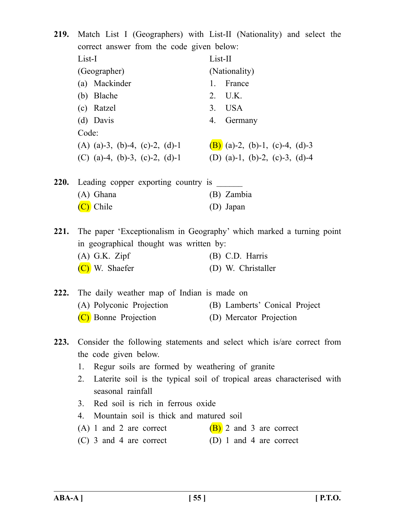| 219.                                      |                                                               | Match List I (Geographers) with List-II (Nationality) and select the |
|-------------------------------------------|---------------------------------------------------------------|----------------------------------------------------------------------|
| correct answer from the code given below: |                                                               |                                                                      |
|                                           | List-I                                                        | List-II                                                              |
|                                           | (Geographer)                                                  | (Nationality)                                                        |
|                                           | (a) Mackinder                                                 | France<br>$1_{-}$                                                    |
|                                           | (b) Blache                                                    | 2. U.K.                                                              |
|                                           | (c) Ratzel                                                    | 3. USA                                                               |
|                                           | (d) Davis                                                     | 4. Germany                                                           |
|                                           | Code:                                                         |                                                                      |
|                                           | (A) (a)-3, (b)-4, (c)-2, (d)-1 (B) (a)-2, (b)-1, (c)-4, (d)-3 |                                                                      |
|                                           | (C) (a)-4, (b)-3, (c)-2, (d)-1                                | (D) (a)-1, (b)-2, (c)-3, (d)-4                                       |
| 220.                                      | Leading copper exporting country is                           |                                                                      |
|                                           | $(A)$ Ghana                                                   | (B) Zambia                                                           |
|                                           | (C) Chile                                                     | (D) Japan                                                            |
| 221.                                      |                                                               | The paper 'Exceptionalism in Geography' which marked a turning point |
|                                           | in geographical thought was written by:                       |                                                                      |
|                                           | $(A)$ G.K. Zipf                                               | (B) C.D. Harris                                                      |
|                                           | (C) W. Shaefer                                                | (D) W. Christaller                                                   |
| 222.                                      | The daily weather map of Indian is made on                    |                                                                      |
|                                           | (A) Polyconic Projection                                      | (B) Lamberts' Conical Project                                        |
|                                           | (C) Bonne Projection                                          | (D) Mercator Projection                                              |
|                                           |                                                               |                                                                      |

- **223.** Consider the following statements and select which is/are correct from the code given below.
	- 1. Regur soils are formed by weathering of granite
	- 2. Laterite soil is the typical soil of tropical areas characterised with seasonal rainfall
	- 3. Red soil is rich in ferrous oxide
	- 4. Mountain soil is thick and matured soil
	- (A) 1 and 2 are correct  $(B)$  2 and 3 are correct
	- (C) 3 and 4 are correct (D) 1 and 4 are correct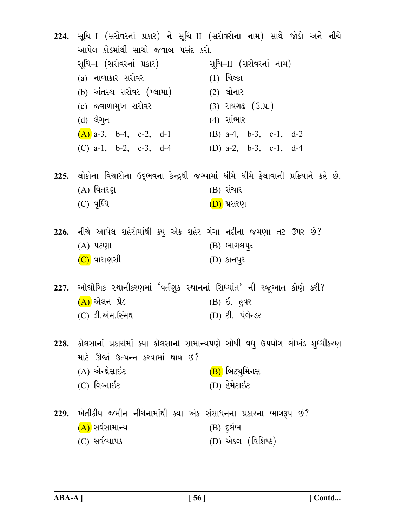224. સૂચિ–I (સરોવરનાં પ્રકાર) ને સૂચિ–II (સરોવરોના નામ) સાથે જોડો અને નીચે આપેલ કોડમાંથી સાચો જવાબ પસંદ કરો. સચિ–I (સરોવરનાં પ્રકાર) સૂચિ–II (સરોવરનાં નામ)  $(a)$  નાળાકાર સરોવર  $(1)$  ચિલ્કા (b) અંતસ્થ સરોવર (પ્લામા)  $(2)$  લોનાર (c) જ્વાળામુખ સરોવર  $(3)$  રાયગઢ  $(6.4)$ (d) લેગન  $(4)$  સાંભાર  $(A)$  a-3, b-4, c-2, d-1 (B)  $a-4$ ,  $b-3$ ,  $c-1$ ,  $d-2$ (C) a-1, b-2, c-3, d-4 (D)  $a-2$ ,  $b-3$ ,  $c-1$ ,  $d-4$ 225. લોકોના વિચારોના ઉદભવના કેન્દ્રથી જગ્યામાં ધીમે ધીમે કેલાવાની પ્રક્રિયાને કહે છે. (A) વિતરણ (B) સંચાર  $(C)$  q $\Omega$ (D) પ્રસરણ 226. નીચે આપેલ શહેરોમાંથી ક્યૂ એક શહેર ગંગા નદીના જમણા તટ ઉપર છે? (A) પટણા  $(B)$  ભાગલપુર  $(C)$  વારાણસી (D) કાનપુર 227. ઓદ્યોગિક સ્થાનીકરણમાં 'વર્તણૂક સ્થાનનાં સિધ્ધાંત' ની રજૂઆત કોણે કરી?  $(A)$  એલન $\lambda$ ડ  $(B)$   $\delta$ .  $\epsilon$ q? (C) ડી.એમ.સ્મિથ (D) ટી. પેલેન્ડર 228. કોલસાનાં પ્રકારોમાં ક્યા કોલસાનો સામાન્યપણે સોથી વધુ ઉપયોગ લોખંડ શુધ્ધીકરણ માટે ઊર્જા ઉત્પન્ન કરવામાં થાય છે?  $(B)$  બિટ્યૂમિનસ (A) એન્થ્રેસાઇટ (C) લિગ્નાઇટ (D) *દે*મેટાઇટ 229. ખેતીકીય જમીન નીચેનામાંથી ક્યા એક સંસાધનના પ્રકારના ભાગરૂપ છે? (A) સર્વસામાન્ય  $(B)$  દૂર્લભ (C) સર્વવ્યાપક (D) એકલ (વિશિષ્ઠ)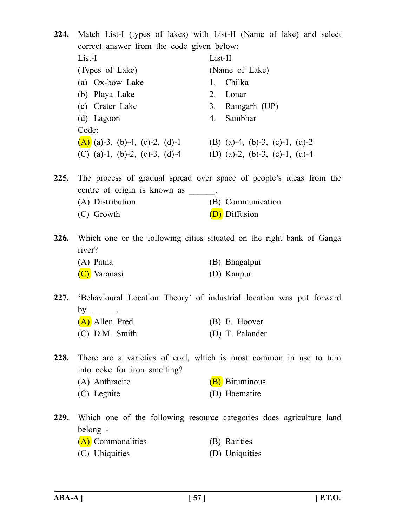**224.** Match List-I (types of lakes) with List-II (Name of lake) and select correct answer from the code given below: List-I List-II (Types of Lake) (Name of Lake) (a) Ox-bow Lake 1. Chilka (b) Playa Lake 2. Lonar (c) Crater Lake 3. Ramgarh (UP) (d) Lagoon 4. Sambhar Code: (A) (a)-3, (b)-4, (c)-2, (d)-1 (B) (a)-4, (b)-3, (c)-1, (d)-2 (C) (a)-1, (b)-2, (c)-3, (d)-4 (D) (a)-2, (b)-3, (c)-1, (d)-4 **225.** The process of gradual spread over space of people's ideas from the centre of origin is known as . (A) Distribution (B) Communication (C) Growth  $(D)$  Diffusion **226.** Which one or the following cities situated on the right bank of Ganga river? (A) Patna (B) Bhagalpur (C) Varanasi (D) Kanpur **227.** 'Behavioural Location Theory' of industrial location was put forward by  $\qquad \qquad$ (A) Allen Pred (B) E. Hoover (C) D.M. Smith (D) T. Palander **228.** There are a varieties of coal, which is most common in use to turn into coke for iron smelting? (A) Anthracite (B) Bituminous (C) Legnite (D) Haematite **229.** Which one of the following resource categories does agriculture land belong - (A) Commonalities (B) Rarities (C) Ubiquities (D) Uniquities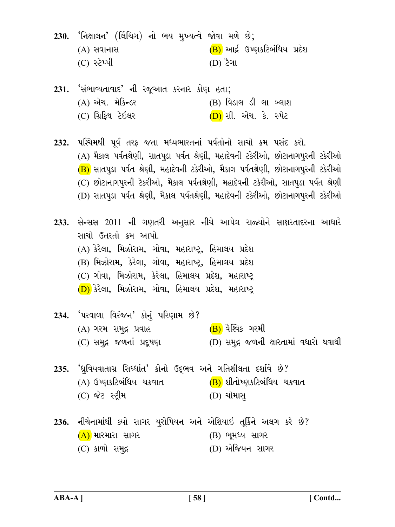230. 'નિક્ષાલન' (લિંચિંગ) નો ભય મુખ્યત્વે જોવા મળે છે; (A) સવાનાસ  $(B)$  આર્દ્ર ઉષ્ણકટિબંધિય પ્રદેશ (C) સ્ટેપ્પી  $(10)$  ટેગા

| 231. 'સંભાવ્યતાવાદ' ની રજૂઆત કરનાર કોણ હતા; |  |                              |  |  |
|---------------------------------------------|--|------------------------------|--|--|
| (A) એચ. મેકિન્ડર                            |  | (B) વિડાલ ડી લા બ્લાશ        |  |  |
| (C) ગ્રિફિથ ટેઇલર                           |  | <u>(D)</u> સી. એચ. કે. સ્પેટ |  |  |

232. પશ્ચિમથી પૂર્વ તરફ જતા મધ્યભારતનાં પર્વતોનો સાચો ક્રમ પસંદ કરો. (A) મૈકાલ પર્વતશ્રેણી, સાતપુડા પર્વત શ્રેણી, મહાદેવની ટકેરીઓ, છોટાનાગપુરની ટકેરીઓ (B) સાતપુડા પર્વત શ્રેણી, મહાદેવની ટકેરીઓ, મૈકાલ પર્વતશ્રેણી, છોટાનાગપુરની ટકેરીઓ (C) છોટાનાગપુરની ટેકરીઓ, મૈકાલ પર્વતશ્રેણી, મહાદેવની ટકેરીઓ, સાતપુડા પર્વત શ્રેણી (D) સાતપુડા પર્વત શ્રેણી, મૈકાલ પર્વતશ્રેણી, મહાદેવની ટકેરીઓ, છોટાનાગપુરની ટકેરીઓ

- 233. સેન્સસ 2011 ની ગણતરી અનુસાર નીચે આપેલ રાજ્યોને સાક્ષરતાદરના આધારે સાચો ઉતરતો ક્રમ આપો. (A) કેરેલા, મિઝોરામ, ગોવા, મહારાષ્ટ્ર, હિમાલય પ્રદેશ (B) મિઝોરામ, કેરેલા, ગોવા, મહારાષ્ટ્ર, હિમાલય પ્રદેશ (C) ગોવા, મિઝોરામ, કેરેલા, હિમાલય પ્રદેશ, મહારાષ્ટ્ર (D) કેરેલા, મિઝોરામ, ગોવા, હિમાલય પ્રદેશ, મહારાષ્ટ્ 234. 'પરવાળા વિરંજન' કોનું પરિણામ છે?
- (A) ગરમ સમુદ્ર પ્રવાહ  $(B)$  વૈશ્વિક ગરમી (C) સમુદ્ર જળનાં પ્રદૂષણ (D) સમુદ્ર જળની ક્ષારતામાં વધારો થવાથી
- 235. 'ધ્રુવિયવાતાગ્ર સિધ્ધાંત' કોનો ઉદ્દભવ અને ગતિશીલતા દર્શાવે છે? (A) ઉષ્ણકટિબંધિય ચક્રવાત (<mark>B)</mark> શીતોષ્ણકટિબંધિય ચક્રવાત (C) જેટ સ્ટીમ  $(D)$  ચોમાસ
- 236. નીચેનામાંથી ક્યો સાગર યુરોપિયન અને એશિયાઇ તૂર્કિને અલગ કરે છે?  $(A)$  મારમારા સાગર  $(B)$  ભૂમધ્ય સાગર  $(C)$  કાળો સમુદ્ર  $(D)$  એજિયન સાગર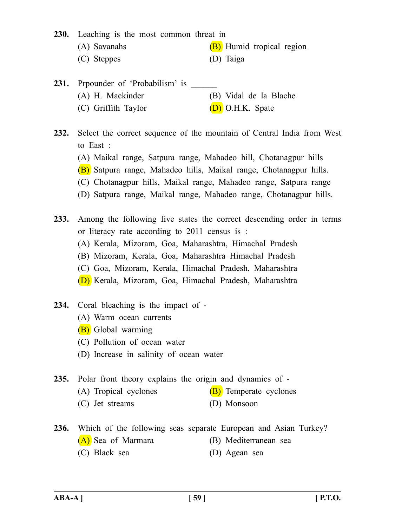**230.** Leaching is the most common threat in

- (A) Savanahs  $(B)$  Humid tropical region
- (C) Steppes (D) Taiga
- **231.** Prpounder of 'Probabilism' is (A) H. Mackinder (B) Vidal de la Blache (C) Griffith Taylor (D) O.H.K. Spate
- **232.** Select the correct sequence of the mountain of Central India from West to East :
	- (A) Maikal range, Satpura range, Mahadeo hill, Chotanagpur hills
	- (B) Satpura range, Mahadeo hills, Maikal range, Chotanagpur hills.
	- (C) Chotanagpur hills, Maikal range, Mahadeo range, Satpura range
	- (D) Satpura range, Maikal range, Mahadeo range, Chotanagpur hills.
- **233.** Among the following five states the correct descending order in terms or literacy rate according to 2011 census is :
	- (A) Kerala, Mizoram, Goa, Maharashtra, Himachal Pradesh
	- (B) Mizoram, Kerala, Goa, Maharashtra Himachal Pradesh
	- (C) Goa, Mizoram, Kerala, Himachal Pradesh, Maharashtra
	- (D) Kerala, Mizoram, Goa, Himachal Pradesh, Maharashtra
- **234.** Coral bleaching is the impact of
	- (A) Warm ocean currents
	- (B) Global warming
	- (C) Pollution of ocean water
	- (D) Increase in salinity of ocean water
- **235.** Polar front theory explains the origin and dynamics of
	- (A) Tropical cyclones  $(B)$  Temperate cyclones
	- (C) Jet streams (D) Monsoon
- **236.** Which of the following seas separate European and Asian Turkey? (A) Sea of Marmara (B) Mediterranean sea
	- (C) Black sea (D) Agean sea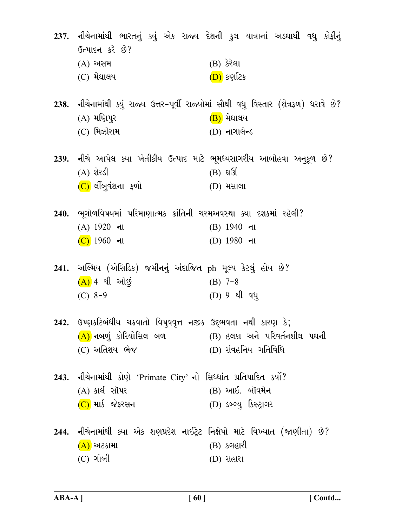237. નીચેનામાંથી ભારતનું ક્યું એક રાજ્ય દેશની કુલ યાત્રાનાં અડઘાથી વધુ કોફીનું ઉત્પાદન કરે છે? (B) કેરેલા (A) અસમ  $(C)$  મેઘાલય  $(D)$  કર્ણાટક 238. નીચેનામાંથી ક્યું રાજ્ય ઉત્તર-પૂર્વી રાજ્યોમાં સૌથી વધુ વિસ્તાર (ક્ષેત્રફળ) ધરાવે છે? (A) મણિપુર (B) મેઘાલય (C) મિઝોરામ (D) **નાગાલેન્**ડ 239. નીચે આપેલ ક્યા ખેતીકીય ઉત્પાદ માટે ભૂમધ્યસાગરીય આબોહવા અનુકૂળ છે?  $(B)$  as (A) શેરડી (C) લીંબવંશના ફળો  $(D)$  મસાલા 240. ભૂગોળવિષયમાં પરિમાણાત્મક ક્રાંતિની ચરમઅવસ્થા ક્યા દશકમાં રહેલી?  $(A)$  1920 ના (B) 1940 ના  $(C)$  1960 ના  $(D)$  1980 ના 241. અલ્મિય (એસિડિક) જમીનનું અંદાજિત ph મૂલ્ય કેટલું હોય છે?  $(A)$  4 થી ઓછું  $(B)$  7-8  $(C) 8-9$ (D) 9 થી વધુ 242. ઉષ્ણકટિબંધીય ચક્રવાતો વિષ્ણવવૃત્ત નજીક ઉદ્ભવતા નથી કારણ કે;  $(A)$  નબળું કોરિયોસિલ બળ  $(B)$  હલકા અને પરિવર્તનશીલ પઘની (C) અતિશય ભેજ (D) સંવહનિય ગતિવિધિ 243. નીચેનામાંથી કોણે 'Primate City' નો સિધ્ધાંત પ્રતિપાદિત કર્યો? (A) કાર્લ સૉપર (B) આઇ. બૉવમેન (D) ડબ્લ્ય કિસ્ટ્રાલર (C) માર્ક જેફરસન 244. નીચેનામાંથી ક્યા એક શણપ્રદેશ નાઇટેટ નિક્ષેપો માટે વિખ્યાત (જાણીતા) છે?  $(A)$  અટકામા (B) કલહારી  $(C)$  ગોબી  $(D)$  સહારા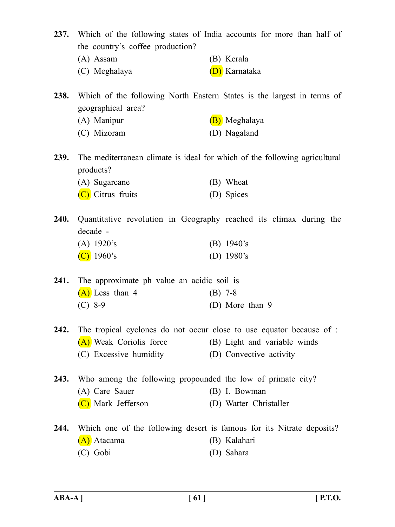|      | the country's coffee production?                            | 237. Which of the following states of India accounts for more than half of |
|------|-------------------------------------------------------------|----------------------------------------------------------------------------|
|      | (A) Assam                                                   | (B) Kerala                                                                 |
|      | (C) Meghalaya                                               | (D) Karnataka                                                              |
| 238. | geographical area?                                          | Which of the following North Eastern States is the largest in terms of     |
|      | (A) Manipur                                                 | (B) Meghalaya                                                              |
|      | (C) Mizoram                                                 | (D) Nagaland                                                               |
| 239. | products?                                                   | The mediterranean climate is ideal for which of the following agricultural |
|      | (A) Sugarcane                                               | (B) Wheat                                                                  |
|      | (C) Citrus fruits                                           | (D) Spices                                                                 |
| 240. | decade -                                                    | Quantitative revolution in Geography reached its climax during the         |
|      | $(A)$ 1920's                                                | (B) $1940$ 's                                                              |
|      | $(C)$ 1960's                                                | (D) $1980$ 's                                                              |
| 241. | The approximate ph value an acidic soil is                  |                                                                            |
|      | $(A)$ Less than 4                                           | $(B)$ 7-8                                                                  |
|      | $(C)$ 8-9                                                   | (D) More than 9                                                            |
| 242. |                                                             | The tropical cyclones do not occur close to use equator because of :       |
|      | (A) Weak Coriolis force                                     | (B) Light and variable winds                                               |
|      | (C) Excessive humidity                                      | (D) Convective activity                                                    |
| 243. | Who among the following propounded the low of primate city? |                                                                            |
|      | (A) Care Sauer                                              | (B) I. Bowman                                                              |
|      | (C) Mark Jefferson                                          | (D) Watter Christaller                                                     |
| 244. |                                                             | Which one of the following desert is famous for its Nitrate deposits?      |

(A) Atacama (B) Kalahari (C) Gobi (D) Sahara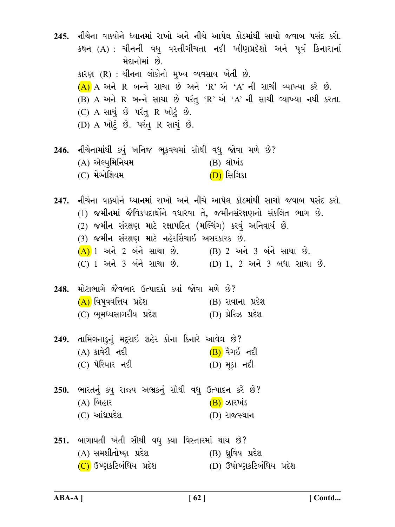245. નીચેના વાક્યોને ધ્યાનમાં રાખો અને નીચે આપેલ કોડમાંથી સાચો જવાબ પસંદ કરો. કથન (A) : ચીનની વધુ વસ્તીગીચતા નદી ખીણપ્રદેશો અને પૂર્વ કિનારાનાં મેદાનોમાં છે. કારણ (R) : ચીનના લોકોનો મુખ્ય વ્યવસાય ખેતી છે.  $(A)$  A અને R બન્ને સાચા છે અને 'R' એ 'A' ની સાચી વ્યાખ્યા કરે છે. (B) A અને R બન્ને સાચા છે પરંતુ 'R' એ 'A' ની સાચી વ્યાખ્યા નથી કરતા.  $(C)$  A સાચું છે પરંતુ R ખોટું છે. (D) A ખોટું છે. પરંતુ R સાચું છે. 246. નીચેનામાંથી ક્યું ખનિજ ભૂકવચમાં સૌથી વધુ જોવા મળે છે?  $(A)$  એલ્યુમિનિયમ (B) લોખંડ (C) મેગ્નેશિયમ (D) સિલિકા 247. નીચેના વાક્યોને ધ્યાનમાં રાખો અને નીચે આપેલ કોડમાંથી સાચો જવાબ પસંદ કરો. (1) જમીનમાં જૈવિકપદાર્થોને વધારવા તે. જમીનસંરક્ષણનો સંકલિત ભાગ છે. (2) જમીન સંરક્ષણ માટે રક્ષાપટિત (મલ્ચિંગ) કરવું અનિવાર્ય છે. (3) જમીન સંરક્ષણ માટે નહેરસિંચાઇ અસરકારક છે.  $(A)$  1 અને 2 બંને સાચા છે. (B) 2 અને 3 બંને સાચા છે. (C) 1 અને 3 બંને સાચા છે. (D) 1, 2 અને 3 બધા સાચા છે. 248. મોટાભાગે જૈવભાર ઉત્પાદકો ક્યાં જોવા મળે છે? (A) વિષવવત્તિય પ્રદેશ (B) સવાના પ્રદેશ (C) ભૂમધ્યસાગરીય પ્રદેશ (D) પ્રેરિઝ પ્રદેશ 249. તામિલનાડુનું મદ્દરાઇ શહેર કોના કિનારે આવેલ છે?  $(A)$  કાવેરી નદી (B) વૈગઇ નદી  $(C)$  પેરિયાર નદી (D) મૂઠા નદી 250. ભારતનું ક્યુ રાજ્ય અભ્રકનું સૌથી વધુ ઉત્પાદન કરે છે? (A) બિહાર (B) ઝારખંડ  $(C)$  આંધ્રપ્રદેશ (D) રાજસ્થાન 251. બાગાયતી ખેતી સૌથી વધુ ક્યા વિસ્તારમાં થાય છે? (A) સમશીતોષ્ણ પ્રદેશ (B) ધ્રુવિય પ્રદેશ  $(C)$  ઉષ્ણકટિબંધિય પ્રદેશ (D) ઉપોષ્ણકટિબંધિય પ્રદેશ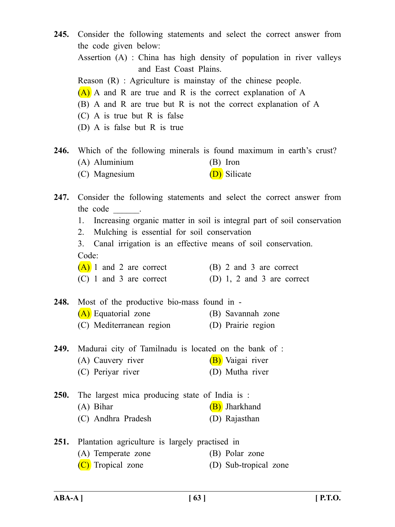|             |                                                                                                                                                                                                                                                                   | 245. Consider the following statements and select the correct answer from                  |  |
|-------------|-------------------------------------------------------------------------------------------------------------------------------------------------------------------------------------------------------------------------------------------------------------------|--------------------------------------------------------------------------------------------|--|
|             | the code given below:<br>Assertion (A) : China has high density of population in river valleys<br>and East Coast Plains.                                                                                                                                          |                                                                                            |  |
|             | Reason $(R)$ : Agriculture is mainstay of the chinese people.<br>$(A)$ A and R are true and R is the correct explanation of A<br>(B) A and R are true but R is not the correct explanation of A<br>$(C)$ A is true but R is false<br>(D) A is false but R is true |                                                                                            |  |
|             | (A) Aluminium                                                                                                                                                                                                                                                     | <b>246.</b> Which of the following minerals is found maximum in earth's crust?<br>(B) Iron |  |
|             | (C) Magnesium                                                                                                                                                                                                                                                     | (D) Silicate                                                                               |  |
|             | the code<br><b>Contract Contract</b>                                                                                                                                                                                                                              | 247. Consider the following statements and select the correct answer from                  |  |
|             |                                                                                                                                                                                                                                                                   | 1. Increasing organic matter in soil is integral part of soil conservation                 |  |
|             | 2. Mulching is essential for soil conservation<br>3. Canal irrigation is an effective means of soil conservation.                                                                                                                                                 |                                                                                            |  |
|             |                                                                                                                                                                                                                                                                   |                                                                                            |  |
|             | Code:<br>$(A)$ 1 and 2 are correct                                                                                                                                                                                                                                | (B) 2 and 3 are correct                                                                    |  |
|             | $(C)$ 1 and 3 are correct                                                                                                                                                                                                                                         | (D) 1, 2 and 3 are correct                                                                 |  |
|             |                                                                                                                                                                                                                                                                   |                                                                                            |  |
| 248.        | Most of the productive bio-mass found in -                                                                                                                                                                                                                        |                                                                                            |  |
|             | (A) Equatorial zone                                                                                                                                                                                                                                               | (B) Savannah zone                                                                          |  |
|             | (C) Mediterranean region (D) Prairie region                                                                                                                                                                                                                       |                                                                                            |  |
| 249.        | Madurai city of Tamilnadu is located on the bank of :                                                                                                                                                                                                             |                                                                                            |  |
|             | (A) Cauvery river                                                                                                                                                                                                                                                 | (B) Vaigai river                                                                           |  |
|             | (C) Periyar river                                                                                                                                                                                                                                                 | (D) Mutha river                                                                            |  |
| <b>250.</b> | The largest mica producing state of India is:                                                                                                                                                                                                                     |                                                                                            |  |
|             | $(A)$ Bihar                                                                                                                                                                                                                                                       | (B) Jharkhand                                                                              |  |
|             | (C) Andhra Pradesh                                                                                                                                                                                                                                                | (D) Rajasthan                                                                              |  |
|             |                                                                                                                                                                                                                                                                   |                                                                                            |  |
| 251.        | Plantation agriculture is largely practised in<br>(A) Temperate zone                                                                                                                                                                                              | (B) Polar zone                                                                             |  |
|             | Tropical zone                                                                                                                                                                                                                                                     | (D) Sub-tropical zone                                                                      |  |
|             |                                                                                                                                                                                                                                                                   |                                                                                            |  |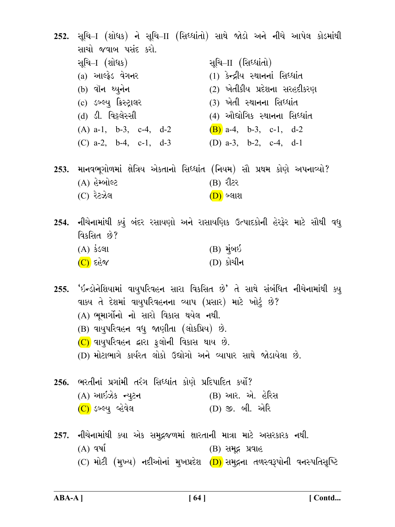252. સૂચિ–I (શોધક) ને સૂચિ–II (સિધ્ધાંતો) સાથે જોડો અને નીચે આપેલ કોડમાંથી સાચો જવાબ પસંદ કરો. સૂચિ–II (સિધ્ધાંતો) સૂચિ–I (શોધક) (a) આલ્ક્રેડ વેગનર (1) કેન્દ્રીય સ્થાનનાં સિધ્ધાંત (b) વૉન થ્યુનેન (2) ખેતીકીય પ્રદેશના સરહદીકરણ (c) ડબ્લ્યૂ ક્રિસ્ટ્રાલર (3) ખેતી સ્થાનના સિધ્ધાંત (d) ડી. વિટ્ટલેસ્સી (4) ઔદ્યોગિક સ્થાનના સિધ્ધાંત (B) a-4, b-3, c-1, d-2  $(A)$  a-1, b-3, c-4, d-2 (D)  $a-3$ ,  $b-2$ ,  $c-4$ ,  $d-1$ (C)  $a-2$ ,  $b-4$ ,  $c-1$ ,  $d-3$ માનવભૂગોળમાં ક્ષેત્રિય એકતાનો સિધ્ધાંત (નિયમ) સૌ પ્રથમ કોણે અપનાવ્યો? 253. (A) હેમ્બોલ્ટ (B) રીટર (C) રેટઝેલ (D) બ્લાશ 254. નીચેનામાંથી ક્યું બંદર રસાયણો અને રાસાયણિક ઉત્પાદકોની હેરફેર માટે સૌથી વધુ વિકસિત છે?

| $(A)$ કંડલા       | $(B)$ મુંબઇ |
|-------------------|-------------|
| $\sqrt{c}$ ) દહેજ | (D) કોચીન   |

255. 'ઇન્ડોનેશિયામાં વાયુપરિવહન સારા વિકસિત છે' તે સાથે સંબંધિત નીચેનામાંથી ક્યુ વાક્ય તે દેશમાં વાયુપરિવહનના વ્યાપ (પ્રસાર) માટે ખોટું છે?  $(A)$  ભમાર્ગોનો નો સારો વિકાસ થયેલ નથી. (B) વાયપરિવહન વધુ જાણીતા (લોકપ્રિય) છે.  $(C)$  વાયુપરિવહન દ્વારા ફુલોની વિકાસ થાય છે. (D) મોટાભાગે કાર્યરત લોકો ઉદ્યોગો અને વ્યાપાર સાથે જોડાયેલા છે.

256. ભરતીનાં પ્રગાંમી તરંગ સિધ્ધાંત કોણે પ્રદિપાદિત કર્યો? (A) આઇઝેક ન્યુટન (B) આર. એ. હેરિસ (C) ડબ્લ્યૂ વ્હેવેલ (D) જી. બી. એરિ

257. નીચેનામાંથી ક્યા એક સમુદ્રજળમાં ક્ષારતાની માત્રા માટે અસરકારક નથી.  $(A)$  વર્ષા (B) સમૃદ્ર પ્રવાહ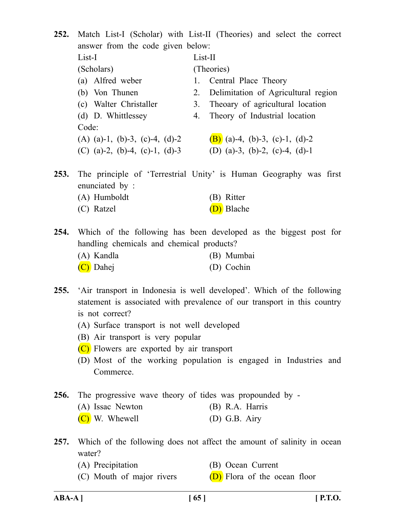**252.** Match List-I (Scholar) with List-II (Theories) and select the correct answer from the code given below: List-I List-II (Scholars) (Theories) (a) Alfred weber 1. Central Place Theory (b) Von Thunen 2. Delimitation of Agricultural region (c) Walter Christaller 3. Theoary of agricultural location (d) D. Whittlessey 4. Theory of Industrial location Code: (A) (a)-1, (b)-3, (c)-4, (d)-2  $(B)$  (a)-4, (b)-3, (c)-1, (d)-2 (C) (a)-2, (b)-4, (c)-1, (d)-3 (D) (a)-3, (b)-2, (c)-4, (d)-1 **253.** The principle of 'Terrestrial Unity' is Human Geography was first enunciated by : (A) Humboldt (B) Ritter (C) Ratzel (D) Blache

**254.** Which of the following has been developed as the biggest post for handling chemicals and chemical products? (A) Kandla (B) Mumbai (C) Dahej (D) Cochin

- **255.** 'Air transport in Indonesia is well developed'. Which of the following statement is associated with prevalence of our transport in this country is not correct?
	- (A) Surface transport is not well developed
	- (B) Air transport is very popular
	- (C) Flowers are exported by air transport
	- (D) Most of the working population is engaged in Industries and Commerce.
- **256.** The progressive wave theory of tides was propounded by
	- (A) Issac Newton (B) R.A. Harris
	- $(C)$  W. Whewell (D) G.B. Airy
- **257.** Which of the following does not affect the amount of salinity in ocean water?
	- (A) Precipitation (B) Ocean Current
	- (C) Mouth of major rivers  $(D)$  Flora of the ocean floor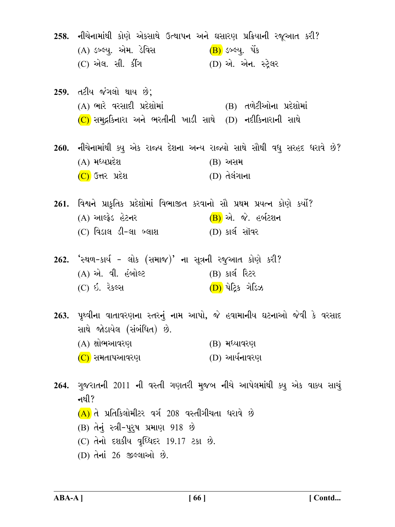258. નીચેનામાંથી કોણે એકસાથે ઉત્થાપન અને ઘસારણ પ્રક્રિયાની રજૂઆત કરી? (A) ડબ્લ્યુ. એમ. ડેવિસ (B) ડબ્લ્યૂ. પેંક (C) એલ. સી. કીંગ (D) એ. એન. સ્ટેલર 259. તટીય જંગલો થાય છે: (A) ભારે વરસાદી પ્રદેશોમાં (B) તળેટીઓના પ્રદેશોમાં  $(C)$  સમદ્ગકિનારા અને ભરતીની ખાડી સાથે  $(D)$  નદીકિનારાની સાથે 260. નીચેનામાંથી ક્યુ એક રાજ્ય દેશના અન્ય રાજ્યો સાથે સૌથી વધુ સરહદ ધરાવે છે?  $(A)$  મધ્યપ્રદેશ **(B)** અસમ  $(C)$  ઉત્તર પ્રદેશ (D) તેલંગાના 261. વિશ્વને પ્રાકૃતિક પ્રદેશોમાં વિભાજીત કરવાનો સૌ પ્રથમ પ્રયત્ન કોણે કર્યો? (A) આલ્ક્રેડ હેટનર (B) એ. જે. હર્બટશન (C) વિડાલ ડી-લા બ્લાશ (D) કાર્લ સૉવર 262. 'સ્થળ-કાર્ય - લોક (સમાજ)' ના સૂત્રની રજુઆત કોણે કરી? (B) કાર્લ રિટર (A) એ. વી. હંબોલ્ટ (C) ઇ. રેકલ્સ (D) પેટિક ગેડિઝ 263. પૃથ્વીના વાતાવરણના સ્તરનું નામ આપો, જે હવામાનીય ઘટનાઓ જેવી કે વરસાદ સાથે જોડાયેલ (સંબંધિત) છે. (A) ક્ષોભઆવરણ (B) મધ્યાવરણ (D) આર્યનાવરણ (C) સમતાપઆવરણ

264. ગુજરાતની 2011 ની વસ્તી ગણતરી મુજબ નીચે આપેલમાંથી ક્યૂ એક વાક્ય સાચું નથી?  $(A)$  તે પ્રતિકિલોમીટર વર્ગ 208 વસ્તીગીચતા ધરાવે છે (B) તેનું સ્ત્રી-પુરૂષ પ્રમાણ 918 છે (C) તેનો દશકીય વૃધ્ધિદર 19.17 ટકા છે. (D) તેનાં 26 જીલ્લાઓ છે.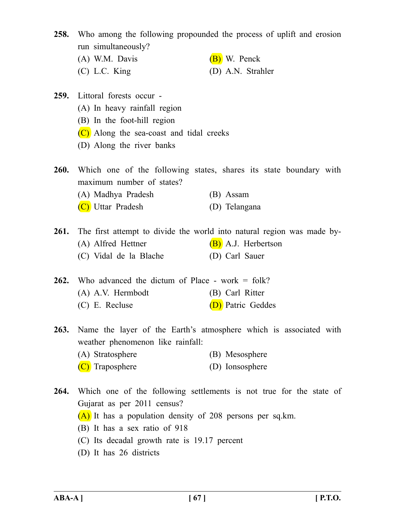| <b>258.</b> | Who among the following propounded the process of uplift and erosion<br>run simultaneously? |                                                                        |  |
|-------------|---------------------------------------------------------------------------------------------|------------------------------------------------------------------------|--|
|             | (A) W.M. Davis                                                                              | (B) W. Penck                                                           |  |
|             | $(C)$ L.C. King                                                                             | (D) A.N. Strahler                                                      |  |
| <b>259.</b> | Littoral forests occur -                                                                    |                                                                        |  |
|             | (A) In heavy rainfall region                                                                |                                                                        |  |
|             | (B) In the foot-hill region                                                                 |                                                                        |  |
|             | (C) Along the sea-coast and tidal creeks                                                    |                                                                        |  |
|             | (D) Along the river banks                                                                   |                                                                        |  |
|             | maximum number of states?                                                                   | 260. Which one of the following states, shares its state boundary with |  |
|             | (A) Madhya Pradesh                                                                          | (B) Assam                                                              |  |
|             | (C) Uttar Pradesh                                                                           | (D) Telangana                                                          |  |
| <b>261.</b> |                                                                                             | The first attempt to divide the world into natural region was made by- |  |
|             | (A) Alfred Hettner                                                                          | (B) A.J. Herbertson                                                    |  |
|             | (C) Vidal de la Blache                                                                      | (D) Carl Sauer                                                         |  |
| 262.        | Who advanced the dictum of Place - work $=$ folk?                                           |                                                                        |  |
|             | (A) A.V. Hermbodt                                                                           | (B) Carl Ritter                                                        |  |
|             | $(C)$ E. Recluse                                                                            | (D) Patric Geddes                                                      |  |
| 263.        | weather phenomenon like rainfall:                                                           | Name the layer of the Earth's atmosphere which is associated with      |  |
|             | (A) Stratosphere                                                                            | (B) Mesosphere                                                         |  |
|             | (C) Traposphere                                                                             | (D) Ionsosphere                                                        |  |
| 264.        | Gujarat as per 2011 census?                                                                 | Which one of the following settlements is not true for the state of    |  |

- (A) It has a population density of 208 persons per sq.km.
- (B) It has a sex ratio of 918
- (C) Its decadal growth rate is 19.17 percent
- (D) It has 26 districts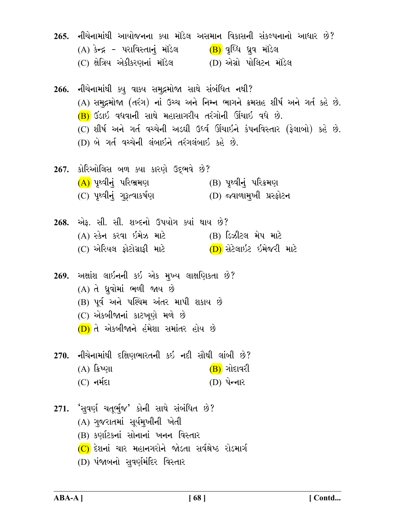265. નીચેનામાંથી આયોજનના ક્યા મૉડેલ અસમાન વિકાસની સંકલ્પનાનો આધાર છે? (A) કેન્દ્ર - પરાવિસ્તાનું મૉડેલ (B) વૃધ્ધિ ધ્રુવ મૉડેલ (D) એગ્રો પોલિટન મૉડેલ (C) ક્ષેત્રિય એકીકરણનાં મૉડેલ 266. નીચેનામાંથી ક્યુ વાક્ય સમુદ્રમોજા સાથે સંબંધિત નથી? (A) સમુદ્રમોજા (તરંગ) નાં ઉચ્ચ અને નિમ્ન ભાગને ક્રમસહ શીર્ષ અને ગર્ત કહે છે. (B) ઉડાઇ વધવાની સાથે મહાસાગરીય તરંગોની ઊંચાઇ વધે છે. (C) શીર્ષ અને ગર્ત વચ્ચેની અડઘી ઉર્ધ્વ ઊંચાઇને કંપનવિસ્તાર (ફેલાબો) કહે છે.  $(D)$  બે ગર્ત વચ્ચેની લંબાઇને તરંગલંબાઇ કહે છે. 267. કોરિઓલિસ બળ ક્યા કારણે ઉદ્દભવે છે? (B) પૃથ્વીનું પરિક્રમણ (<mark>A)</mark> પૃથ્વીનું પરિભ્રમણ<br>(C) પૃથ્વીનું ગુરૂત્વાકર્ષણ (D) જ્વાળામુખી પ્રસ્ફોટન 268. એક. સી. સી. શબ્દનો ઉપયોગ ક્યાં થાય છે? (A) સ્કેન કરવા ઇમેઝ માટે (B) ડિઝીટલ મેપ માટે (C) એરિયલ ફોટોગ્રાફી માટે (D) સેટેલાઇટ ઇમેજરી માટે 269. અક્ષાંશ લાઇનની કઇ એક મુખ્ય લાક્ષણિકતા છે? (A) તે ધ્રુવોમાં ભળી જાય છે (B) પૂર્વ અને પશ્ચિમ અંતર માપી શકાય છે  $(C)$  એકબીજાનાં કાટખણે મળે છે (D) તે એકબીજાને હંમેશા સમાંતર હોય છે 270. નીચેનામાંથી દક્ષિણભારતની કઇ નદી સૌથી લાંબી છે?  $(A)$  કિપ્પ્યા  $(B)$  ગોદાવરી (C) નર્મદા  $(D)$  પેન્નાર 271. 'સુવર્ણ ચતૂર્ભુજ' કોની સાથે સંબંધિત છે? (A) ગુજરાતમાં સૂર્યમુખીની ખેતી (B) કર્ણાટકનાં સોનાનાં ખનન વિસ્તાર  $(C)$  દેશનાં ચાર મહાનગરોને જોડતા સર્વશ્રેષ્ઠ રોડમાર્ગ (D) પંજાબનો સુવર્ણમંદિર વિસ્તાર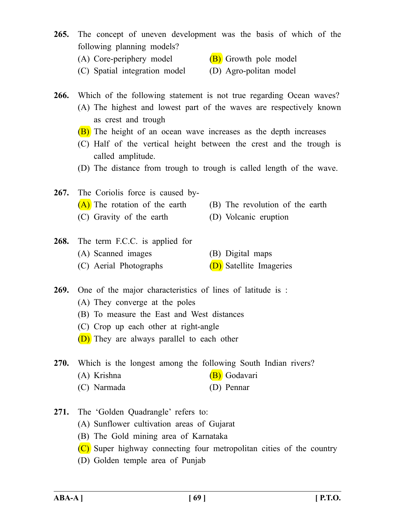- **265.** The concept of uneven development was the basis of which of the following planning models?
	- (A) Core-periphery model  $(B)$  Growth pole model
	- (C) Spatial integration model (D) Agro-politan model
- **266.** Which of the following statement is not true regarding Ocean waves? (A) The highest and lowest part of the waves are respectively known as crest and trough
	- (B) The height of an ocean wave increases as the depth increases
	- (C) Half of the vertical height between the crest and the trough is called amplitude.
	- (D) The distance from trough to trough is called length of the wave.

**267.** The Coriolis force is caused by-  $(A)$  The rotation of the earth (B) The revolution of the earth (C) Gravity of the earth (D) Volcanic eruption

- **268.** The term F.C.C. is applied for (A) Scanned images (B) Digital maps (C) Aerial Photographs  $(D)$  Satellite Imageries
- **269.** One of the major characteristics of lines of latitude is :
	- (A) They converge at the poles
	- (B) To measure the East and West distances
	- (C) Crop up each other at right-angle
	- (D) They are always parallel to each other

**270.** Which is the longest among the following South Indian rivers?

- (A) Krishna (B) Godavari
- (C) Narmada (D) Pennar
- **271.** The 'Golden Quadrangle' refers to:
	- (A) Sunflower cultivation areas of Gujarat
	- (B) The Gold mining area of Karnataka
	- $(C)$  Super highway connecting four metropolitan cities of the country
	- (D) Golden temple area of Punjab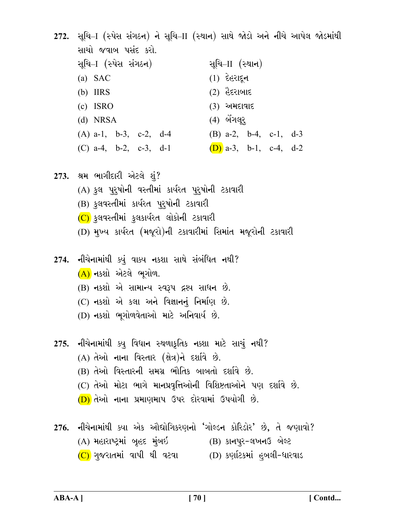| સાચો જવાબ પસંદ કરો.                                                                                                                   | 272.  સૂચિ–I (સ્પેસ સંગઠન) ને સૂચિ–II (સ્થાન) સાથે જોડો અને નીચે આપેલ જોડમાંથી |
|---------------------------------------------------------------------------------------------------------------------------------------|--------------------------------------------------------------------------------|
| સૂચિ–I (સ્પેસ સંગઠન)                                                                                                                  | સૂચિ–II (સ્થા <b>ન</b> )                                                       |
| $(a)$ SAC                                                                                                                             | $(1)$ દેહરાદૂન                                                                 |
| $(b)$ IIRS                                                                                                                            | $(2)$ હૈદરાબાદ                                                                 |
| $(c)$ ISRO                                                                                                                            | $(3)$ અમદાવાદ                                                                  |
| $(d)$ NRSA                                                                                                                            | (4) બેંગલૂર <u>્</u>                                                           |
| $(A)$ a-1, b-3, c-2, d-4                                                                                                              | (B) $a-2$ , $b-4$ , $c-1$ , $d-3$                                              |
| (C) $a-4$ , $b-2$ , $c-3$ , $d-1$                                                                                                     | (D) a-3, b-1, c-4, d-2                                                         |
| 273. શ્રમ ભાગીદારી એટલે શું?                                                                                                          |                                                                                |
| (A) કુલ પુરુષોની વસ્તીમાં કાર્યરત પુરુષોની ટકાવારી                                                                                    |                                                                                |
| (B) કુલવસ્તીમાં કાર્યરત પુરુષોની ટકાવારી                                                                                              |                                                                                |
| $(C)$ કુલવસ્તીમાં કુલકાર્યરત લોકોની ટકાવારી                                                                                           |                                                                                |
| (D) મુખ્ય કાર્યરત (મજૂરો)ની ટકાવારીમાં સિમાંત મજૂરોની ટકાવારી                                                                         |                                                                                |
| 274. નીચેનામાંથી ક્યું વાક્ય નકશા સાથે સંબંધિત નથી?                                                                                   |                                                                                |
| (A) નકશો એટલે ભૂગોળ.                                                                                                                  |                                                                                |
| (B) નકશો એ સામાન્ય સ્વરૂપ દ્રશ્ય સાધન છે.                                                                                             |                                                                                |
| (C) નકશો એ કલા અને વિજ્ઞાનનું નિર્માણ છે.                                                                                             |                                                                                |
| (D) નકશો ભૂગોળવેતાઓ માટે અનિવાર્ય છે.                                                                                                 |                                                                                |
|                                                                                                                                       |                                                                                |
|                                                                                                                                       |                                                                                |
| 275. નીચેનામાંથી ક્યુ વિધાન સ્થળાકૃતિક નક્શા માટે સાચું નથી?                                                                          |                                                                                |
| (A) તેઓ નાના વિસ્તાર (ક્ષેત્ર)ને દર્શાવે છે.<br>(B) તેઓ વિસ્તારની સમગ્ર ભૌતિક બાબતો દર્શાવે છે.                                       |                                                                                |
| (C) તેઓ મોટા ભાગે માનપ્રવૃત્તિઓની વિશિષ્ટતાઓને પણ દર્શાવે છે.                                                                         |                                                                                |
| <mark>(D)</mark> તેઓ નાના પ્રમાણમાપ ઉપર દોરવામાં ઉપયોગી છે.                                                                           |                                                                                |
|                                                                                                                                       |                                                                                |
| 276. નીચેનામાંથી ક્યા એક ઔદ્યોગિકરણનો 'ગોલ્ડન કોરિડોર' છે, તે જણાવો?<br>(A) મહારાષ્ટ્રમાં બહદ મુંબઇ             (B) કાનપુર-લખનઉ બેલ્ટ |                                                                                |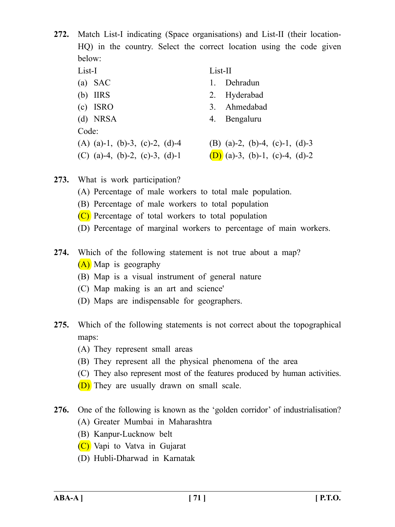**272.** Match List-I indicating (Space organisations) and List-II (their location-HQ) in the country. Select the correct location using the code given below:

- 
- 
- 
- 

Code:

- 
- 

List-I List-II

- (a) SAC 1. Dehradun
- (b) IIRS 2. Hyderabad
- (c) ISRO 3. Ahmedabad
- (d) NRSA 4. Bengaluru
- (A) (a)-1, (b)-3, (c)-2, (d)-4 (B) (a)-2, (b)-4, (c)-1, (d)-3
- (C) (a)-4, (b)-2, (c)-3, (d)-1 (D) (a)-3, (b)-1, (c)-4, (d)-2
- 
- **273.** What is work participation?
	- (A) Percentage of male workers to total male population.
	- (B) Percentage of male workers to total population
	- (C) Percentage of total workers to total population
	- (D) Percentage of marginal workers to percentage of main workers.
- **274.** Which of the following statement is not true about a map? (A) Map is geography
	- (B) Map is a visual instrument of general nature
	- (C) Map making is an art and science'
	- (D) Maps are indispensable for geographers.
- **275.** Which of the following statements is not correct about the topographical maps:
	- (A) They represent small areas
	- (B) They represent all the physical phenomena of the area
	- (C) They also represent most of the features produced by human activities.
	- (D) They are usually drawn on small scale.
- **276.** One of the following is known as the 'golden corridor' of industrialisation?
	- (A) Greater Mumbai in Maharashtra
	- (B) Kanpur-Lucknow belt
	- (C) Vapi to Vatva in Gujarat
	- (D) Hubli-Dharwad in Karnatak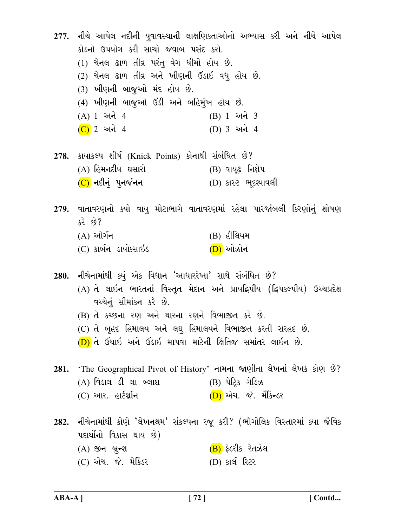|                                                             | 277. નીચે આપેલ નદીની યુવાવસ્થાની લાક્ષણિકતાઓનો અભ્યાસ કરી અને નીચે આપેલ           |  |
|-------------------------------------------------------------|-----------------------------------------------------------------------------------|--|
| કોડનો ઉપયોગ કરી સાચો જવાબ પસંદ કરો.                         |                                                                                   |  |
| (1) ચેનલ ઢાળ તીવ્ર પરંતુ વેગ ધીમો હોય છે.                   |                                                                                   |  |
| (2) ચેનલ ઢાળ તીવ્ર અને ખીણની ઉંડાઇ વધુ હોય છે.              |                                                                                   |  |
| (3) ખીણની બાજુઓ મંદ હોય છે.                                 |                                                                                   |  |
| (4) ખીણની બાજુઓ ઉડી અને બહિર્મુખ હોય છે.                    |                                                                                   |  |
| $(A) 1 $ અને 4                                              | (B) 1 3                                                                           |  |
| (C) 2 અને 4                                                 | (D) 3 અને 4                                                                       |  |
|                                                             |                                                                                   |  |
| 278. કાયાકલ્પ શીર્ષ (Knick Points) કોનાથી સંબંધિત છે?       |                                                                                   |  |
| (A) હિમનદીય ઘસારો                                           | (B) વાયૂઢ નિક્ષેપ                                                                 |  |
| $(C)$ નદીનું પુનર્જનન                                       | (D) કાસ્ટ ભૂદશ્યાવલી                                                              |  |
|                                                             |                                                                                   |  |
|                                                             | 279. વાતાવરણનો ક્યો વાયુ મોટાભાગે વાતાવરણમાં રહેલા પારજાંબલી કિરણોનું શોષણ        |  |
| કરે છે?                                                     |                                                                                   |  |
| $(A)$ ઓર્ગન                                                 | $(B)$ હીલિયમ                                                                      |  |
| (C) કાર્બન ડાયોકસાઈડ                                        | <u>(D)</u> ઓઝોન                                                                   |  |
| 280. નીચેનામાંથી ક્યું એક વિધાન 'આધારરેખા' સાથે સંબંધિત છે? |                                                                                   |  |
|                                                             | (A) તે લાઇન ભારતનાં વિસ્તૃત મેદાન અને પ્રાયદ્વિપીય (દ્વિપકલ્પીય) ઉચ્ચપ્રદેશ       |  |
| વચ્ચેનું સીમાંકન કરે છે.                                    |                                                                                   |  |
| (B) તે કચ્છના રણ અને થારના રણને વિભાજીત કરે છે.             |                                                                                   |  |
| (C) તે બૃહદ હિમાલય અને લઘુ હિમાલયને વિભાજીત કરતી સરહદ છે.   |                                                                                   |  |
| (D) તે ઉંચાઇ અને ઉડાઇ માપવા માટેની ક્ષિતિજ સમાંતર લાઇન છે.  |                                                                                   |  |
|                                                             |                                                                                   |  |
|                                                             | 281. 'The Geographical Pivot of History' નામના જાણીતા લેખનાં લેખક કોણ છે?         |  |
| (A) વિડાલ ડી લા બ્લાશ                                       | (B) પેટ્રિક ગેડિઝ                                                                 |  |
| $(C)$ આર. હાર્ટશ્નોન                                        | (D) એચ. જે. મેંકિન્ડર                                                             |  |
|                                                             |                                                                                   |  |
|                                                             | 282. નીચેનામાંથી કોણે 'લેખનશ્રમ' સંકલ્પના રજૂ કરી? (ભૌગોલિક વિસ્તારમાં ક્યા જૈવિક |  |
| પદાર્થોનો વિકાસ થાય છે)                                     |                                                                                   |  |
| $(A)$ જીન બ્રુન્શ                                           | (B) ફેડરીક રેતઝેલ                                                                 |  |
| (C) એચ. જે. મેકિંડર                                         | (D) કાર્લ રિટર                                                                    |  |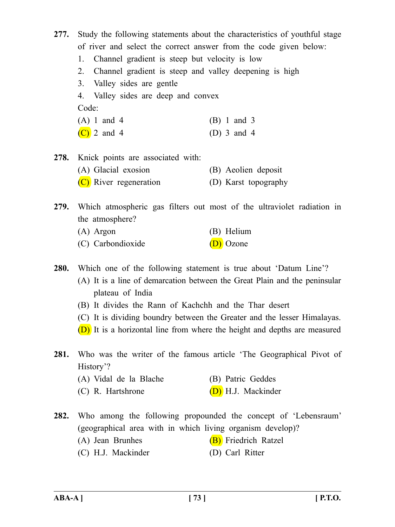| 277. | Study the following statements about the characteristics of youthful stage |                      |  |
|------|----------------------------------------------------------------------------|----------------------|--|
|      | of river and select the correct answer from the code given below:          |                      |  |
|      | Channel gradient is steep but velocity is low<br>1.                        |                      |  |
|      | Channel gradient is steep and valley deepening is high<br>2.               |                      |  |
|      | 3. Valley sides are gentle                                                 |                      |  |
|      | 4. Valley sides are deep and convex                                        |                      |  |
|      | Code:                                                                      |                      |  |
|      | $(A)$ 1 and 4                                                              | $(B)$ 1 and 3        |  |
|      | $(C)$ 2 and 4                                                              | (D) $3$ and $4$      |  |
|      |                                                                            |                      |  |
| 278. | Knick points are associated with:                                          |                      |  |
|      | (A) Glacial exosion                                                        | (B) Aeolien deposit  |  |
|      | (C) River regeneration                                                     | (D) Karst topography |  |
|      |                                                                            |                      |  |

**279.** Which atmospheric gas filters out most of the ultraviolet radiation in the atmosphere?

| $(A)$ Argon       | (B) Helium |
|-------------------|------------|
| (C) Carbondioxide | (D) Ozone  |

**280.** Which one of the following statement is true about 'Datum Line'?

- (A) It is a line of demarcation between the Great Plain and the peninsular plateau of India
- (B) It divides the Rann of Kachchh and the Thar desert
- (C) It is dividing boundry between the Greater and the lesser Himalayas.
- (D) It is a horizontal line from where the height and depths are measured

**281.** Who was the writer of the famous article 'The Geographical Pivot of History'?

- (A) Vidal de la Blache (B) Patric Geddes
- (C) R. Hartshrone  $(D)$  H.J. Mackinder

## **282.** Who among the following propounded the concept of 'Lebensraum' (geographical area with in which living organism develop)?

- (A) Jean Brunhes (B) Friedrich Ratzel
- (C) H.J. Mackinder (D) Carl Ritter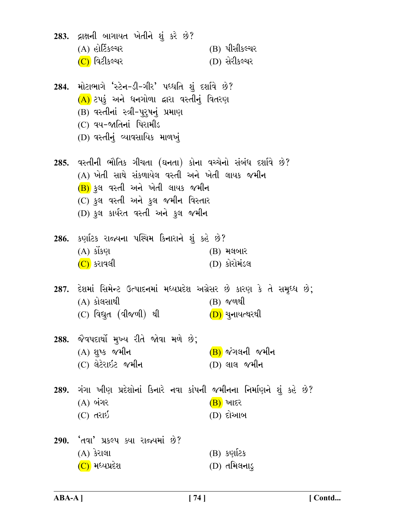| 283. દ્રાક્ષની બાગાયત ખેતીને શું કરે છે?<br>(A) હોર્ટિકલ્ચર<br>(C) વિટીકલ્ચર                                                                                                                                                      | (B) પીસીકલ્ચર<br>(D) સેરીકલ્ચર         |
|-----------------------------------------------------------------------------------------------------------------------------------------------------------------------------------------------------------------------------------|----------------------------------------|
| 284. મોટાભાગે 'સ્ટેન-ડી-ગીર' પધ્ધતિ શું દર્શાવે છે?<br>(A) ટપકું અને ધનગોળા દ્રારા વસ્તીનું વિતરણ<br>(B) વસ્તીનાં સ્ત્રી-પુરુષનું પ્રમાણ<br>(C) વય-જાતિનાં પિરામીડ<br>(D) વસ્તીનું વ્યાવસાયિક માળખું                              |                                        |
| 285. વસ્તીની ભૌતિક ગીચતા (ઘનતા) કોના વચ્ચેનો સંબંધ દર્શાવે છે?<br>(A) ખેતી સાથે સંકળાયેલ વસ્તી અને ખેતી લાયક જમીન<br>(B) કુલ વસ્તી અને ખેતી લાયક જમીન<br>(C) કુલ વસ્તી અને કુલ જમીન વિસ્તાર<br>(D) કુલ કાર્યરત વસ્તી અને કુલ જમીન |                                        |
| 286. કર્ણાટક રાજ્યના પશ્ચિમ કિનારાને શું કહે છે?<br>$(A)$ કોંકણ<br>(C) કરાવલી                                                                                                                                                     | $(B)$ મલબાર<br>(D) કોરોમંડલ            |
| 287. દેશમાં સિમેન્ટ ઉત્પાદનમાં મધ્યપ્રદેશ અગ્રેસર છે કારણ કે તે સમૃધ્ધ છે;<br>$(A)$ કોલસાથી<br>$(C)$ વિદ્યુત (વીજળી) થી                                                                                                           | $(B)$ $\gamma$ u al<br>(D) ચુનાયત્થરથી |
| 288. જેવપદાર્થો મુખ્ય રીતે જોવા મળે છે;<br>$(A)$ શુષ્ક જમીન<br>(C) લેટેરાઇટ જમીન                                                                                                                                                  | (B) જંગલની જમીન<br>$(D)$ લાલ જમીન      |
| 289. ગંગા ખીણ પ્રદેશોનાં કિનારે નવા કાંપની જમીનના નિર્માણને શું કહે છે?<br>$(A)$ બંગર<br>(C) તરાઇ                                                                                                                                 | $\overline{(B)}$ ખાદર<br>(D) દોઆબ      |
| 290. 'તવા' પ્રકલ્પ ક્યા રાજ્યમાં છે?<br>$(A)$ કેરાલા<br>(C) મધ્યપ્રદેશ                                                                                                                                                            | $(B)$ syizs<br>(D) તમિલનાડુ            |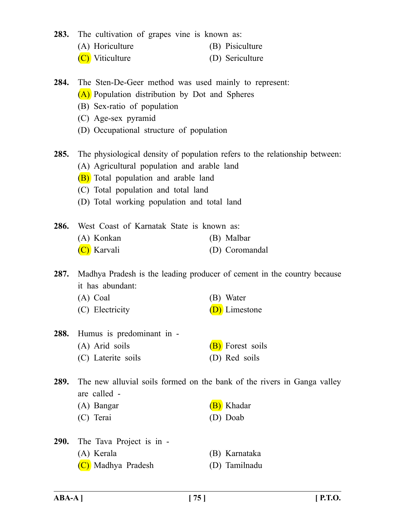|  |  | 283. The cultivation of grapes vine is known as: |  |  |  |  |  |  |
|--|--|--------------------------------------------------|--|--|--|--|--|--|
|--|--|--------------------------------------------------|--|--|--|--|--|--|

- (A) Horiculture (B) Pisiculture
- (C) Viticulture (D) Sericulture
- **284.** The Sten-De-Geer method was used mainly to represent: (A) Population distribution by Dot and Spheres
	- (B) Sex-ratio of population
	- (C) Age-sex pyramid
	- (D) Occupational structure of population
- **285.** The physiological density of population refers to the relationship between:
	- (A) Agricultural population and arable land
	- (B) Total population and arable land
	- (C) Total population and total land
	- (D) Total working population and total land

| 286. West Coast of Karnatak State is known as: |                |
|------------------------------------------------|----------------|
| (A) Konkan                                     | (B) Malbar     |
| (C) Karvali                                    | (D) Coromandal |

**287.** Madhya Pradesh is the leading producer of cement in the country because it has abundant:

| (A) Coal        | (B) Water            |
|-----------------|----------------------|
| (C) Electricity | <b>(D)</b> Limestone |

- **288.** Humus is predominant in (A) Arid soils  $(B)$  Forest soils (C) Laterite soils (D) Red soils
- **289.** The new alluvial soils formed on the bank of the rivers in Ganga valley are called -
	- (A) Bangar (B) Khadar (C) Terai (D) Doab
- **290.** The Tava Project is in (A) Kerala (B) Karnataka (C) Madhya Pradesh (D) Tamilnadu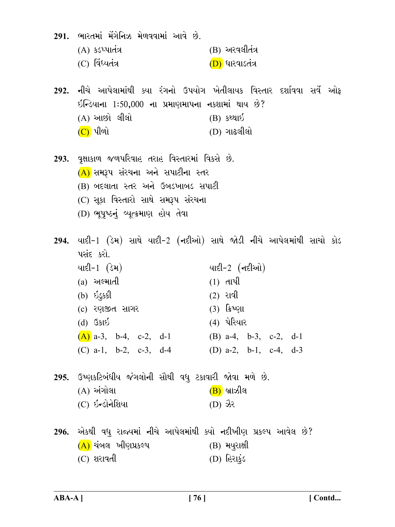291. ભારતમાં મેંગેનિઝ મેળવવામાં આવે છે.

- (B) અરવલીતંત્ર  $(A)$  ssuuld
- $(C)$  વિંધ્યતંત્ર (D) ધારવાડતંત્ર

292. નીચે આપેલામાંથી ક્યા રંગનો ઉપયોગ ખેતીલાયક વિસ્તાર દર્શાવવા સર્વે ઓફ ઈન્ડિયાના 1:50,000 ના પ્રમાણમાપના નકશામાં થાય છે?  $(A)$  આછો લીલો  $(B)$  seems  $(C)$  પીળો (D) ગાઢલીલો

293. વક્ષાકાળ જળપરિવાહ તરાહ વિસ્તારમાં વિકસે છે.  $(A)$  સમરૂપ સંરચના અને સપાટીના સ્તર (B) બદલાતા સ્તર અને ઉબડખાબડ સપાટી (C) સૂકા વિસ્તારો સાથે સમરૂપ સંરચના (D) ભૂપૃષ્ઠનું વ્યૂત્ક્રમાણ હોય તેવા

294. યાદી-1 (ડેમ) સાથે યાદી-2 (નદીઓ) સાથે જોડી નીચે આપેલમાંથી સાચો કોડ પસંદ કરો.  $U(5) - 1$   $(3)$  $U(5-2)$  ( $\tau$ દીઓ)  $(a)$  અલ્માતી  $(1)$  dlul  $(b)$   $555$  $(2)$  રાવી  $(3)$  ક્રિપ્ણા (c) રણજીત સાગર **(4) પેરિયાર**  $(d)$   $3sl5$  $(A)$  a-3, b-4, c-2, d-1 (B)  $a-4$ ,  $b-3$ ,  $c-2$ ,  $d-1$ (C) a-1, b-2, c-3, d-4 (D) a-2, b-1, c-4, d-3 295. ઉષ્ણકટિબંધીય જંગલોની સૌથી વધુ ટકાવારી જોવા મળે છે.  $(A)$  અંગોલા  $(B)$  બ્રાઝીલ  $(C)$  ઇન્ડોનેશિયા  $($ D) ઝેર

296. એકથી વધુ રાજ્યમાં નીચે આપેલમાંથી ક્યો નદીખીણ પ્રકલ્પ આવેલ છે? (A) ચંબલ ખીણપ્રકલ્પ (B) મયરાક્ષી  $(C)$  શરાવતી (D) હિરાકુંડ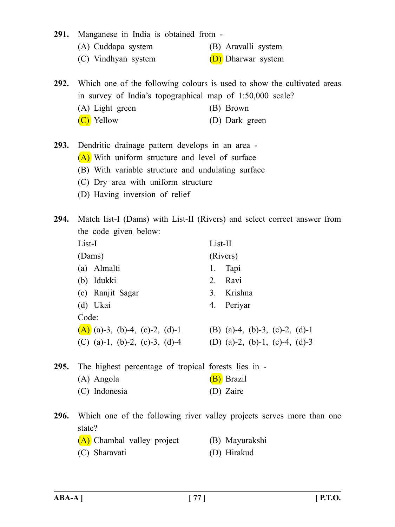**291.** Manganese in India is obtained from -

- (A) Cuddapa system (B) Aravalli system
- (C) Vindhyan system (D) Dharwar system

**292.** Which one of the following colours is used to show the cultivated areas in survey of India's topographical map of 1:50,000 scale?

- (A) Light green (B) Brown
- (C) Yellow (D) Dark green
- **293.** Dendritic drainage pattern develops in an area
	- (A) With uniform structure and level of surface
	- (B) With variable structure and undulating surface
	- (C) Dry area with uniform structure
	- (D) Having inversion of relief

**294.** Match list-I (Dams) with List-II (Rivers) and select correct answer from the code given below:

| List-I                           | List-II                        |
|----------------------------------|--------------------------------|
| (Dams)                           | (Rivers)                       |
| (a) Almalti                      | Tapi<br>1.                     |
| (b) Idukki                       | 2. Ravi                        |
| (c) Ranjit Sagar                 | 3. Krishna                     |
| (d) Ukai                         | 4. Periyar                     |
| Code:                            |                                |
| $(A)$ (a)-3, (b)-4, (c)-2, (d)-1 | (B) (a)-4, (b)-3, (c)-2, (d)-1 |
| (C) (a)-1, (b)-2, (c)-3, (d)-4   | (D) (a)-2, (b)-1, (c)-4, (d)-3 |
|                                  |                                |

- **295.** The highest percentage of tropical forests lies in (A) Angola (B) Brazil (C) Indonesia (D) Zaire
- **296.** Which one of the following river valley projects serves more than one state?

| (A) Chambal valley project | (B) Mayurakshi |
|----------------------------|----------------|
| (C) Sharavati              | (D) Hirakud    |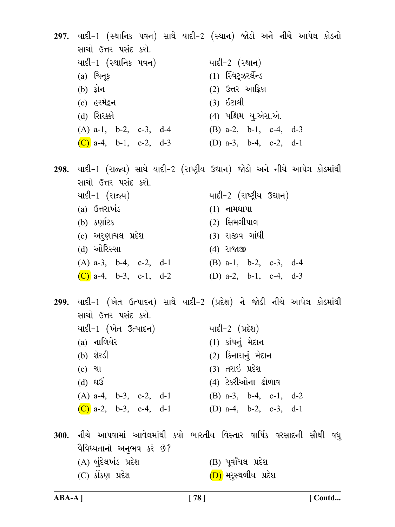297. યાદી-1 (સ્થાનિક પવન) સાથે યાદી-2 (સ્થાન) જોડો અને નીચે આપેલ કોડનો સાચો ઉત્તર પસંદ કરો. યાદી-2  $($ સ્થાન $)$ યાદી- $1$  (સ્થાનિક પવન)  $(a)$  ચિન્ $b$  $(1)$  સ્વિટ્ઝરર્લેન્ડ (b) ફોન (2) ઉત્તર આફ્રિકા  $(3)$  ઇટાલી (c) હરમેટ્રન (d) સિરક્કો (4) પશ્ચિમ યુ.એસ.એ. (B)  $a-2$ ,  $b-1$ ,  $c-4$ ,  $d-3$  $(A)$  a-1, b-2, c-3, d-4 (C)  $a-4$ ,  $b-1$ ,  $c-2$ ,  $d-3$ (D)  $a-3$ ,  $b-4$ ,  $c-2$ ,  $d-1$ 298. યાદી-1 (રાજ્ય) સાથે યાદી-2 (રાષ્ટ્રીય ઉદ્યાન) જોડો અને નીચે આપેલ કોડમાંથી સાચો ઉત્તર પસંદ કરો. યાદી-1 (રાજ્ય) યાદી-2 (રાષ્ટ્રીય ઉદ્યાન)  $(a)$  ઉત્તરાખંડ  $(1)$  નામઘાપા  $(2)$  સિમલીપાલ  $(b)$  syizs (c) અરૂણાચલ પ્રદેશ  $(3)$  રાજીવ ગાંધી (d) ઓરિસ્સા **(4) રાજાજી** (B)  $a-1$ ,  $b-2$ ,  $c-3$ ,  $d-4$  $(A)$  a-3, b-4, c-2, d-1 (C) a-4, b-3, c-1, d-2 (D) a-2, b-1, c-4, d-3 299. યાદી-1 (ખેત ઉત્પાદન) સાથે યાદી-2 (પ્રદેશ) ને જોડી નીચે આપેલ કોડમાંથી સાચો ઉત્તર પસંદ કરો. યાદી- $1$  (ખેત ઉત્પાદન)  $ulz - 2 (u\epsilon u)$  $(a)$  નાળિયેર  $(1)$  કાંપનું મેદાન (b) શેરડી  $(2)$  કિનારાનું મેદાન **(3) તરા**ઈ પ્રદેશ  $(c)$  ચા (4) ટેકરીઓના ઢોળાવ  $(d)$  as (B) a-3, b-4, c-1,  $d-2$  $(A)$  a-4, b-3, c-2, d-1 (D) a-4, b-2, c-3, d-1 (C)  $a-2$ ,  $b-3$ ,  $c-4$ ,  $d-1$ 300. નીચે આપવામાં આવેલમાંથી ક્યો ભારતીય વિસ્તાર વાર્ષિક વરસાદની સૌથી વધ્ વૈવિધ્યતાનો અનુભવ કરે છે? (A) બુંદેલખંડ પ્રદેશ  $(B)$  પૂર્વાંચલ પ્રદેશ  $(C)$  કોંકણ પ્રદેશ  $(D)$  મરૂસ્થળીય પ્રદેશ